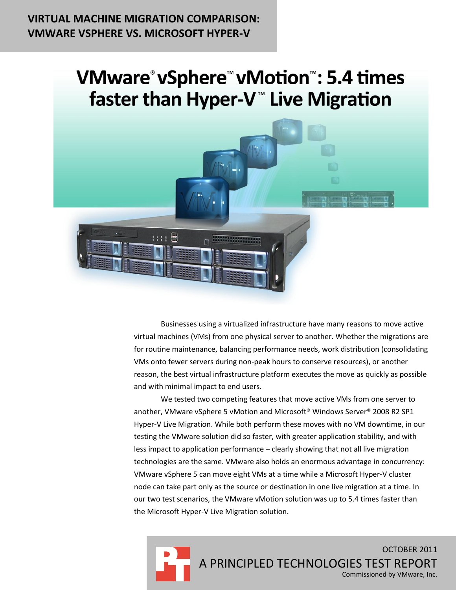## **VIRTUAL MACHINE MIGRATION COMPARISON: VMWARE VSPHERE VS. MICROSOFT HYPER-V**

# **VMware °vSphere ™vMotion ™: 5.4 times** faster than Hyper-V<sup>™</sup> Live Migration



Businesses using a virtualized infrastructure have many reasons to move active virtual machines (VMs) from one physical server to another. Whether the migrations are for routine maintenance, balancing performance needs, work distribution (consolidating VMs onto fewer servers during non-peak hours to conserve resources), or another reason, the best virtual infrastructure platform executes the move as quickly as possible and with minimal impact to end users.

We tested two competing features that move active VMs from one server to another, VMware vSphere 5 vMotion and Microsoft® Windows Server® 2008 R2 SP1 Hyper-V Live Migration. While both perform these moves with no VM downtime, in our testing the VMware solution did so faster, with greater application stability, and with less impact to application performance – clearly showing that not all live migration technologies are the same. VMware also holds an enormous advantage in concurrency: VMware vSphere 5 can move eight VMs at a time while a Microsoft Hyper-V cluster node can take part only as the source or destination in one live migration at a time. In our two test scenarios, the VMware vMotion solution was up to 5.4 times faster than the Microsoft Hyper-V Live Migration solution.

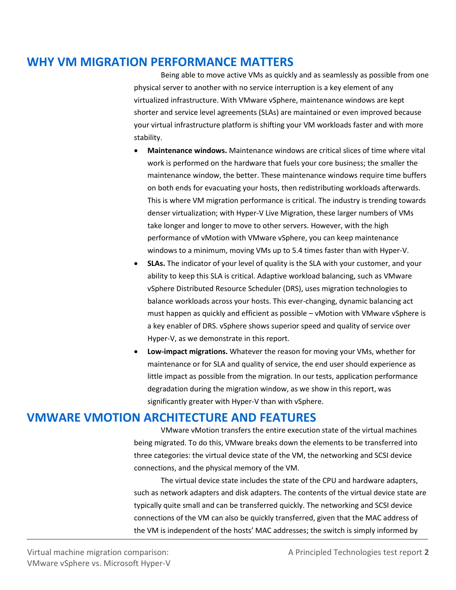## **WHY VM MIGRATION PERFORMANCE MATTERS**

Being able to move active VMs as quickly and as seamlessly as possible from one physical server to another with no service interruption is a key element of any virtualized infrastructure. With VMware vSphere, maintenance windows are kept shorter and service level agreements (SLAs) are maintained or even improved because your virtual infrastructure platform is shifting your VM workloads faster and with more stability.

- **Maintenance windows.** Maintenance windows are critical slices of time where vital work is performed on the hardware that fuels your core business; the smaller the maintenance window, the better. These maintenance windows require time buffers on both ends for evacuating your hosts, then redistributing workloads afterwards. This is where VM migration performance is critical. The industry is trending towards denser virtualization; with Hyper-V Live Migration, these larger numbers of VMs take longer and longer to move to other servers. However, with the high performance of vMotion with VMware vSphere, you can keep maintenance windows to a minimum, moving VMs up to 5.4 times faster than with Hyper-V.
- **SLAs.** The indicator of your level of quality is the SLA with your customer, and your ability to keep this SLA is critical. Adaptive workload balancing, such as VMware vSphere Distributed Resource Scheduler (DRS), uses migration technologies to balance workloads across your hosts. This ever-changing, dynamic balancing act must happen as quickly and efficient as possible – vMotion with VMware vSphere is a key enabler of DRS. vSphere shows superior speed and quality of service over Hyper-V, as we demonstrate in this report.
- **Low-impact migrations.** Whatever the reason for moving your VMs, whether for maintenance or for SLA and quality of service, the end user should experience as little impact as possible from the migration. In our tests, application performance degradation during the migration window, as we show in this report, was significantly greater with Hyper-V than with vSphere.

### **VMWARE VMOTION ARCHITECTURE AND FEATURES**

VMware vMotion transfers the entire execution state of the virtual machines being migrated. To do this, VMware breaks down the elements to be transferred into three categories: the virtual device state of the VM, the networking and SCSI device connections, and the physical memory of the VM.

The virtual device state includes the state of the CPU and hardware adapters, such as network adapters and disk adapters. The contents of the virtual device state are typically quite small and can be transferred quickly. The networking and SCSI device connections of the VM can also be quickly transferred, given that the MAC address of the VM is independent of the hosts' MAC addresses; the switch is simply informed by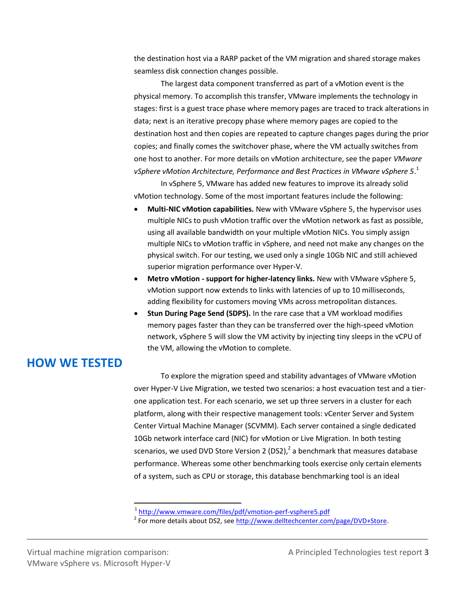the destination host via a RARP packet of the VM migration and shared storage makes seamless disk connection changes possible.

The largest data component transferred as part of a vMotion event is the physical memory. To accomplish this transfer, VMware implements the technology in stages: first is a guest trace phase where memory pages are traced to track alterations in data; next is an iterative precopy phase where memory pages are copied to the destination host and then copies are repeated to capture changes pages during the prior copies; and finally comes the switchover phase, where the VM actually switches from one host to another. For more details on vMotion architecture, see the paper *VMware vSphere vMotion Architecture, Performance and Best Practices in VMware vSphere 5*. 1

In vSphere 5, VMware has added new features to improve its already solid vMotion technology. Some of the most important features include the following:

- **Multi-NIC vMotion capabilities.** New with VMware vSphere 5, the hypervisor uses multiple NICs to push vMotion traffic over the vMotion network as fast as possible, using all available bandwidth on your multiple vMotion NICs. You simply assign multiple NICs to vMotion traffic in vSphere, and need not make any changes on the physical switch. For our testing, we used only a single 10Gb NIC and still achieved superior migration performance over Hyper-V.
- **Metro vMotion - support for higher-latency links.** New with VMware vSphere 5, vMotion support now extends to links with latencies of up to 10 milliseconds, adding flexibility for customers moving VMs across metropolitan distances.
- **Stun During Page Send (SDPS).** In the rare case that a VM workload modifies memory pages faster than they can be transferred over the high-speed vMotion network, vSphere 5 will slow the VM activity by injecting tiny sleeps in the vCPU of the VM, allowing the vMotion to complete.

### **HOW WE TESTED**

To explore the migration speed and stability advantages of VMware vMotion over Hyper-V Live Migration, we tested two scenarios: a host evacuation test and a tierone application test. For each scenario, we set up three servers in a cluster for each platform, along with their respective management tools: vCenter Server and System Center Virtual Machine Manager (SCVMM). Each server contained a single dedicated 10Gb network interface card (NIC) for vMotion or Live Migration. In both testing scenarios, we used DVD Store Version 2 (DS2),<sup>2</sup> a benchmark that measures database performance. Whereas some other benchmarking tools exercise only certain elements of a system, such as CPU or storage, this database benchmarking tool is an ideal

<sup>&</sup>lt;sup>1</sup> <http://www.vmware.com/files/pdf/vmotion-perf-vsphere5.pdf><br><sup>2</sup> For more details about DS2, see <u>http://www.delltechcenter.com/page/DVD+Store</u>.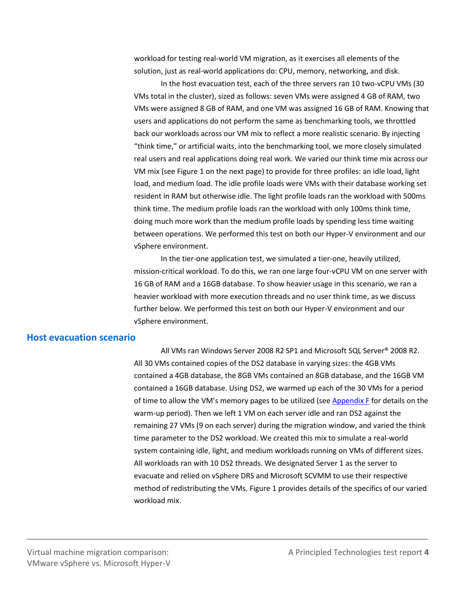workload for testing real-world VM migration, as it exercises all elements of the solution, just as real-world applications do: CPU, memory, networking, and disk.

In the host evacuation test, each of the three servers ran 10 two-vCPU VMs (30 VMs total in the cluster), sized as follows: seven VMs were assigned 4 GB of RAM, two VMs were assigned 8 GB of RAM, and one VM was assigned 16 GB of RAM. Knowing that users and applications do not perform the same as benchmarking tools, we throttled back our workloads across our VM mix to reflect a more realistic scenario. By injecting "think time," or artificial waits, into the benchmarking tool, we more closely simulated real users and real applications doing real work. We varied our think time mix across our VM mix (see Figure 1 on the next page) to provide for three profiles: an idle load, light load, and medium load. The idle profile loads were VMs with their database working set resident in RAM but otherwise idle. The light profile loads ran the workload with 500ms think time. The medium profile loads ran the workload with only 100ms think time, doing much more work than the medium profile loads by spending less time waiting between operations. We performed this test on both our Hyper-V environment and our vSphere environment.

In the tier-one application test, we simulated a tier-one, heavily utilized, mission-critical workload. To do this, we ran one large four-vCPU VM on one server with 16 GB of RAM and a 16GB database. To show heavier usage in this scenario, we ran a heavier workload with more execution threads and no user think time, as we discuss further below. We performed this test on both our Hyper-V environment and our vSphere environment.

### **Host evacuation scenario**

All VMs ran Windows Server 2008 R2 SP1 and Microsoft SQL Server® 2008 R2. All 30 VMs contained copies of the DS2 database in varying sizes: the 4GB VMs contained a 4GB database, the 8GB VMs contained an 8GB database, and the 16GB VM contained a 16GB database. Using DS2, we warmed up each of the 30 VMs for a period of time to allow the VM's memory pages to be utilized (see [Appendix F](#page-29-0) for details on the warm-up period). Then we left 1 VM on each server idle and ran DS2 against the remaining 27 VMs (9 on each server) during the migration window, and varied the think time parameter to the DS2 workload. We created this mix to simulate a real-world system containing idle, light, and medium workloads running on VMs of different sizes. All workloads ran with 10 DS2 threads. We designated Server 1 as the server to evacuate and relied on vSphere DRS and Microsoft SCVMM to use their respective method of redistributing the VMs. Figure 1 provides details of the specifics of our varied workload mix.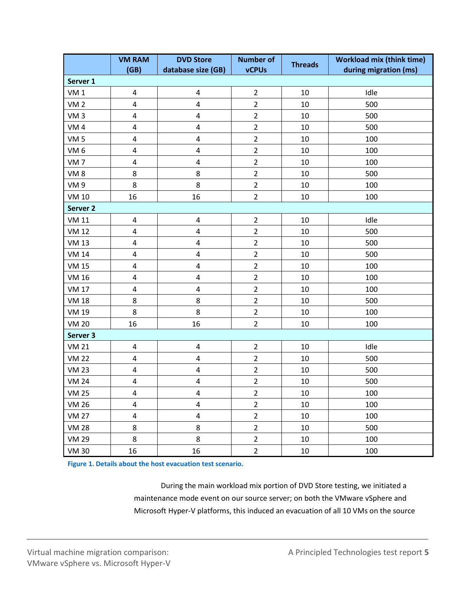|                     | <b>VM RAM</b><br>(GB)   | <b>DVD Store</b><br>database size (GB) | <b>Number of</b><br><b>vCPUs</b> | <b>Threads</b> | <b>Workload mix (think time)</b><br>during migration (ms) |
|---------------------|-------------------------|----------------------------------------|----------------------------------|----------------|-----------------------------------------------------------|
| Server 1            |                         |                                        |                                  |                |                                                           |
| VM <sub>1</sub>     | $\pmb{4}$               | $\overline{\mathbf{4}}$                | $\overline{2}$                   | 10             | Idle                                                      |
| <b>VM2</b>          | 4                       | 4                                      | $\overline{2}$                   | 10             | 500                                                       |
| VM <sub>3</sub>     | $\pmb{4}$               | $\overline{\mathbf{4}}$                | $\overline{2}$                   | 10             | 500                                                       |
| VM <sub>4</sub>     | 4                       | 4                                      | $\overline{2}$                   | 10             | 500                                                       |
| VM <sub>5</sub>     | 4                       | $\pmb{4}$                              | $\overline{2}$                   | 10             | 100                                                       |
| VM <sub>6</sub>     | 4                       | $\overline{\mathbf{4}}$                | $\overline{2}$                   | 10             | 100                                                       |
| VM <sub>7</sub>     | 4                       | 4                                      | $\overline{2}$                   | 10             | 100                                                       |
| VM <sub>8</sub>     | 8                       | 8                                      | $\overline{2}$                   | 10             | 500                                                       |
| VM <sub>9</sub>     | 8                       | 8                                      | $\overline{2}$                   | 10             | 100                                                       |
| <b>VM 10</b>        | 16                      | 16                                     | $\overline{2}$                   | 10             | 100                                                       |
| Server <sub>2</sub> |                         |                                        |                                  |                |                                                           |
| <b>VM 11</b>        | $\pmb{4}$               | 4                                      | $\overline{2}$                   | 10             | Idle                                                      |
| <b>VM 12</b>        | $\overline{\mathbf{4}}$ | $\overline{\mathbf{4}}$                | $\overline{2}$                   | 10             | 500                                                       |
| <b>VM 13</b>        | 4                       | 4                                      | $\overline{2}$                   | 10             | 500                                                       |
| <b>VM 14</b>        | 4                       | $\overline{\mathbf{4}}$                | $\overline{2}$                   | 10             | 500                                                       |
| <b>VM 15</b>        | 4                       | 4                                      | $\overline{2}$                   | 10             | 100                                                       |
| <b>VM 16</b>        | 4                       | $\pmb{4}$                              | $\overline{2}$                   | 10             | 100                                                       |
| <b>VM 17</b>        | 4                       | $\overline{\mathbf{4}}$                | $\overline{2}$                   | 10             | 100                                                       |
| <b>VM 18</b>        | 8                       | 8                                      | $\overline{2}$                   | 10             | 500                                                       |
| <b>VM 19</b>        | 8                       | 8                                      | $\overline{2}$                   | 10             | 100                                                       |
| <b>VM 20</b>        | 16                      | 16                                     | $\overline{2}$                   | 10             | 100                                                       |
| Server 3            |                         |                                        |                                  |                |                                                           |
| <b>VM 21</b>        | 4                       | 4                                      | $\overline{2}$                   | 10             | Idle                                                      |
| <b>VM 22</b>        | 4                       | $\overline{\mathbf{4}}$                | $\overline{2}$                   | 10             | 500                                                       |
| <b>VM 23</b>        | $\pmb{4}$               | $\pmb{4}$                              | $\overline{2}$                   | 10             | 500                                                       |
| <b>VM 24</b>        | 4                       | 4                                      | $\overline{2}$                   | 10             | 500                                                       |
| <b>VM 25</b>        | $\overline{4}$          | 4                                      | $\overline{2}$                   | 10             | 100                                                       |
| <b>VM 26</b>        | $\overline{\mathbf{4}}$ | $\overline{\mathbf{4}}$                | $\overline{2}$                   | 10             | 100                                                       |
| <b>VM 27</b>        | $\pmb{4}$               | $\overline{\mathbf{4}}$                | $\overline{2}$                   | 10             | 100                                                       |
| <b>VM 28</b>        | 8                       | 8                                      | $\overline{2}$                   | 10             | 500                                                       |
| <b>VM 29</b>        | 8                       | 8                                      | $\overline{2}$                   | 10             | 100                                                       |
| <b>VM 30</b>        | 16                      | 16                                     | $\overline{2}$                   | 10             | 100                                                       |

**Figure 1. Details about the host evacuation test scenario.**

During the main workload mix portion of DVD Store testing, we initiated a maintenance mode event on our source server; on both the VMware vSphere and Microsoft Hyper-V platforms, this induced an evacuation of all 10 VMs on the source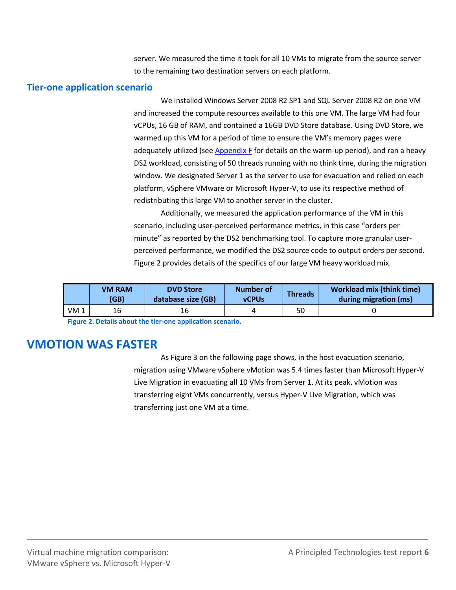server. We measured the time it took for all 10 VMs to migrate from the source server to the remaining two destination servers on each platform.

#### **Tier-one application scenario**

We installed Windows Server 2008 R2 SP1 and SQL Server 2008 R2 on one VM and increased the compute resources available to this one VM. The large VM had four vCPUs, 16 GB of RAM, and contained a 16GB DVD Store database. Using DVD Store, we warmed up this VM for a period of time to ensure the VM's memory pages were adequately utilized (se[e Appendix F](#page-29-0) for details on the warm-up period), and ran a heavy DS2 workload, consisting of 50 threads running with no think time, during the migration window. We designated Server 1 as the server to use for evacuation and relied on each platform, vSphere VMware or Microsoft Hyper-V, to use its respective method of redistributing this large VM to another server in the cluster.

Additionally, we measured the application performance of the VM in this scenario, including user-perceived performance metrics, in this case "orders per minute" as reported by the DS2 benchmarking tool. To capture more granular userperceived performance, we modified the DS2 source code to output orders per second. Figure 2 provides details of the specifics of our large VM heavy workload mix.

|                 | <b>VM RAM</b><br>(GB) | <b>DVD</b> Store<br>database size (GB) | Number of<br><b>vCPUs</b> | <b>Threads</b> | <b>Workload mix (think time)</b><br>during migration (ms) |
|-----------------|-----------------------|----------------------------------------|---------------------------|----------------|-----------------------------------------------------------|
| VM <sub>1</sub> | 16                    | 16                                     |                           | 50             |                                                           |

**Figure 2. Details about the tier-one application scenario.**

## **VMOTION WAS FASTER**

As Figure 3 on the following page shows, in the host evacuation scenario, migration using VMware vSphere vMotion was 5.4 times faster than Microsoft Hyper-V Live Migration in evacuating all 10 VMs from Server 1. At its peak, vMotion was transferring eight VMs concurrently, versus Hyper-V Live Migration, which was transferring just one VM at a time.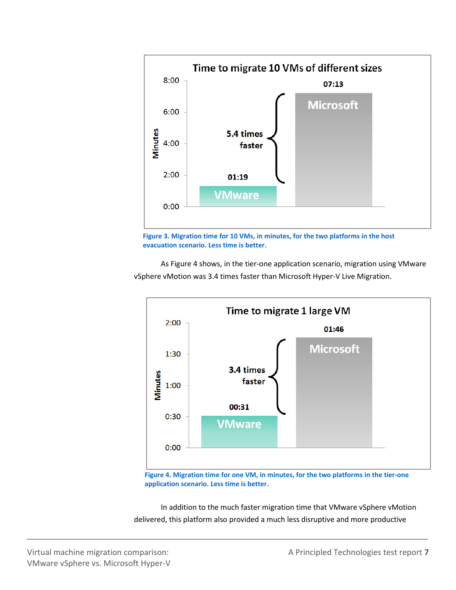



As Figure 4 shows, in the tier-one application scenario, migration using VMware vSphere vMotion was 3.4 times faster than Microsoft Hyper-V Live Migration.



**Figure 4. Migration time for one VM, in minutes, for the two platforms in the tier-one application scenario. Less time is better.**

In addition to the much faster migration time that VMware vSphere vMotion delivered, this platform also provided a much less disruptive and more productive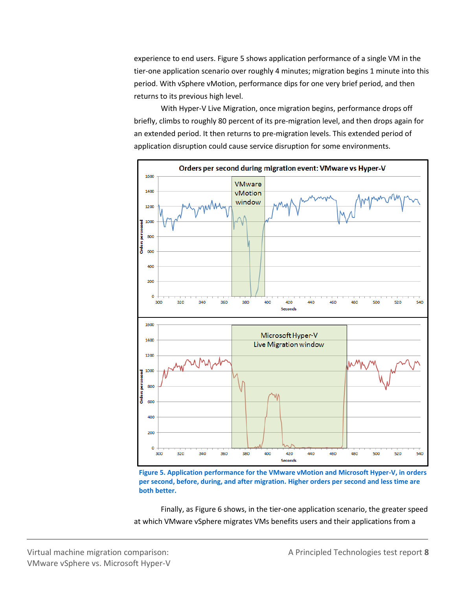experience to end users. Figure 5 shows application performance of a single VM in the tier-one application scenario over roughly 4 minutes; migration begins 1 minute into this period. With vSphere vMotion, performance dips for one very brief period, and then returns to its previous high level.

With Hyper-V Live Migration, once migration begins, performance drops off briefly, climbs to roughly 80 percent of its pre-migration level, and then drops again for an extended period. It then returns to pre-migration levels. This extended period of application disruption could cause service disruption for some environments.



**Figure 5. Application performance for the VMware vMotion and Microsoft Hyper-V, in orders per second, before, during, and after migration. Higher orders per second and less time are both better.**

Finally, as Figure 6 shows, in the tier-one application scenario, the greater speed at which VMware vSphere migrates VMs benefits users and their applications from a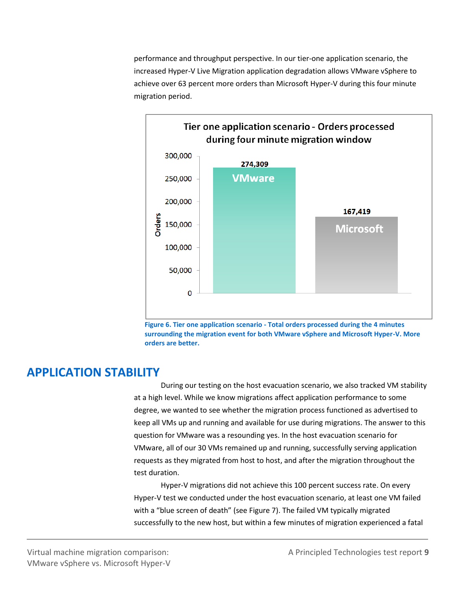performance and throughput perspective. In our tier-one application scenario, the increased Hyper-V Live Migration application degradation allows VMware vSphere to achieve over 63 percent more orders than Microsoft Hyper-V during this four minute migration period.





### **APPLICATION STABILITY**

During our testing on the host evacuation scenario, we also tracked VM stability at a high level. While we know migrations affect application performance to some degree, we wanted to see whether the migration process functioned as advertised to keep all VMs up and running and available for use during migrations. The answer to this question for VMware was a resounding yes. In the host evacuation scenario for VMware, all of our 30 VMs remained up and running, successfully serving application requests as they migrated from host to host, and after the migration throughout the test duration.

Hyper-V migrations did not achieve this 100 percent success rate. On every Hyper-V test we conducted under the host evacuation scenario, at least one VM failed with a "blue screen of death" (see Figure 7). The failed VM typically migrated successfully to the new host, but within a few minutes of migration experienced a fatal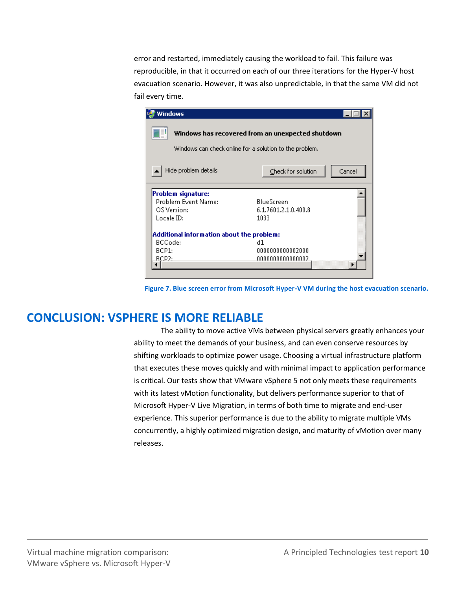error and restarted, immediately causing the workload to fail. This failure was reproducible, in that it occurred on each of our three iterations for the Hyper-V host evacuation scenario. However, it was also unpredictable, in that the same VM did not fail every time.

| Windows                                                                                                      |                              |  |  |
|--------------------------------------------------------------------------------------------------------------|------------------------------|--|--|
| Windows has recovered from an unexpected shutdown<br>Windows can check online for a solution to the problem. |                              |  |  |
| Hide problem details                                                                                         | Check for solution<br>Cancel |  |  |
| Problem signature:                                                                                           |                              |  |  |
| Problem Event Name:                                                                                          | <b>BlueScreen</b>            |  |  |
| OS Version:                                                                                                  | 6.1.7601.2.1.0.400.8         |  |  |
| Locale ID:                                                                                                   | 1033                         |  |  |
| Additional information about the problem:                                                                    |                              |  |  |
| BCCode:                                                                                                      | d1.                          |  |  |
| BCP1:                                                                                                        | 0000000000002000             |  |  |
| RCP2:                                                                                                        | .00000000000000002           |  |  |
|                                                                                                              |                              |  |  |
|                                                                                                              |                              |  |  |

**Figure 7. Blue screen error from Microsoft Hyper-V VM during the host evacuation scenario.**

## **CONCLUSION: VSPHERE IS MORE RELIABLE**

The ability to move active VMs between physical servers greatly enhances your ability to meet the demands of your business, and can even conserve resources by shifting workloads to optimize power usage. Choosing a virtual infrastructure platform that executes these moves quickly and with minimal impact to application performance is critical. Our tests show that VMware vSphere 5 not only meets these requirements with its latest vMotion functionality, but delivers performance superior to that of Microsoft Hyper-V Live Migration, in terms of both time to migrate and end-user experience. This superior performance is due to the ability to migrate multiple VMs concurrently, a highly optimized migration design, and maturity of vMotion over many releases.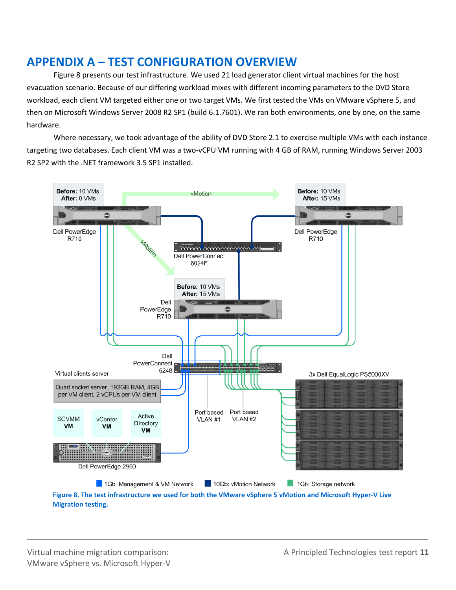## **APPENDIX A – TEST CONFIGURATION OVERVIEW**

Figure 8 presents our test infrastructure. We used 21 load generator client virtual machines for the host evacuation scenario. Because of our differing workload mixes with different incoming parameters to the DVD Store workload, each client VM targeted either one or two target VMs. We first tested the VMs on VMware vSphere 5, and then on Microsoft Windows Server 2008 R2 SP1 (build 6.1.7601). We ran both environments, one by one, on the same hardware.

Where necessary, we took advantage of the ability of DVD Store 2.1 to exercise multiple VMs with each instance targeting two databases. Each client VM was a two-vCPU VM running with 4 GB of RAM, running Windows Server 2003 R2 SP2 with the .NET framework 3.5 SP1 installed.



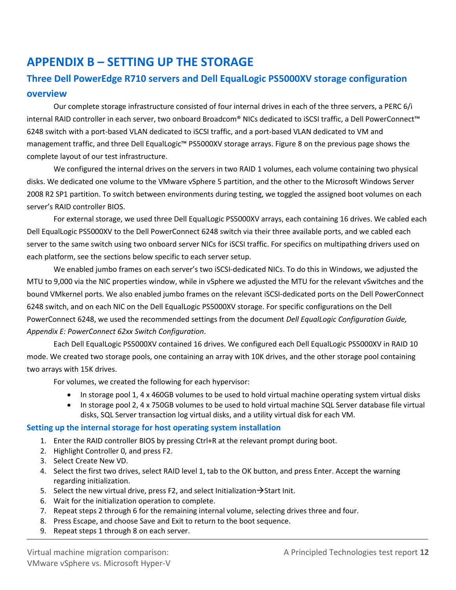## **APPENDIX B – SETTING UP THE STORAGE**

### **Three Dell PowerEdge R710 servers and Dell EqualLogic PS5000XV storage configuration overview**

Our complete storage infrastructure consisted of four internal drives in each of the three servers, a PERC 6/i internal RAID controller in each server, two onboard Broadcom® NICs dedicated to iSCSI traffic, a Dell PowerConnect™ 6248 switch with a port-based VLAN dedicated to iSCSI traffic, and a port-based VLAN dedicated to VM and management traffic, and three Dell EqualLogic™ PS5000XV storage arrays. Figure 8 on the previous page shows the complete layout of our test infrastructure.

We configured the internal drives on the servers in two RAID 1 volumes, each volume containing two physical disks. We dedicated one volume to the VMware vSphere 5 partition, and the other to the Microsoft Windows Server 2008 R2 SP1 partition. To switch between environments during testing, we toggled the assigned boot volumes on each server's RAID controller BIOS.

For external storage, we used three Dell EqualLogic PS5000XV arrays, each containing 16 drives. We cabled each Dell EqualLogic PS5000XV to the Dell PowerConnect 6248 switch via their three available ports, and we cabled each server to the same switch using two onboard server NICs for iSCSI traffic. For specifics on multipathing drivers used on each platform, see the sections below specific to each server setup.

We enabled jumbo frames on each server's two iSCSI-dedicated NICs. To do this in Windows, we adjusted the MTU to 9,000 via the NIC properties window, while in vSphere we adjusted the MTU for the relevant vSwitches and the bound VMkernel ports. We also enabled jumbo frames on the relevant iSCSI-dedicated ports on the Dell PowerConnect 6248 switch, and on each NIC on the Dell EqualLogic PS5000XV storage. For specific configurations on the Dell PowerConnect 6248, we used the recommended settings from the document *Dell EqualLogic Configuration Guide, Appendix E: PowerConnect 62xx Switch Configuration*.

Each Dell EqualLogic PS5000XV contained 16 drives. We configured each Dell EqualLogic PS5000XV in RAID 10 mode. We created two storage pools, one containing an array with 10K drives, and the other storage pool containing two arrays with 15K drives.

For volumes, we created the following for each hypervisor:

- In storage pool 1, 4 x 460GB volumes to be used to hold virtual machine operating system virtual disks
- In storage pool 2, 4 x 750GB volumes to be used to hold virtual machine SQL Server database file virtual disks, SQL Server transaction log virtual disks, and a utility virtual disk for each VM.

#### **Setting up the internal storage for host operating system installation**

- 1. Enter the RAID controller BIOS by pressing Ctrl+R at the relevant prompt during boot.
- 2. Highlight Controller 0, and press F2.
- 3. Select Create New VD.
- 4. Select the first two drives, select RAID level 1, tab to the OK button, and press Enter. Accept the warning regarding initialization.
- 5. Select the new virtual drive, press F2, and select Initialization  $\rightarrow$  Start Init.
- 6. Wait for the initialization operation to complete.
- 7. Repeat steps 2 through 6 for the remaining internal volume, selecting drives three and four.
- 8. Press Escape, and choose Save and Exit to return to the boot sequence.
- 9. Repeat steps 1 through 8 on each server.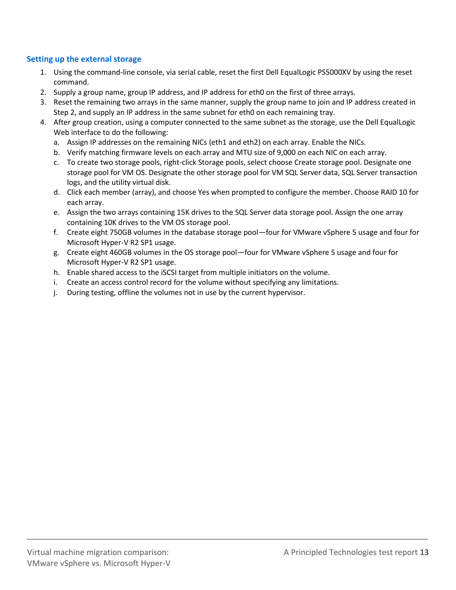#### **Setting up the external storage**

- 1. Using the command-line console, via serial cable, reset the first Dell EqualLogic PS5000XV by using the reset command.
- 2. Supply a group name, group IP address, and IP address for eth0 on the first of three arrays.
- 3. Reset the remaining two arrays in the same manner, supply the group name to join and IP address created in Step 2, and supply an IP address in the same subnet for eth0 on each remaining tray.
- 4. After group creation, using a computer connected to the same subnet as the storage, use the Dell EqualLogic Web interface to do the following:
	- a. Assign IP addresses on the remaining NICs (eth1 and eth2) on each array. Enable the NICs.
	- b. Verify matching firmware levels on each array and MTU size of 9,000 on each NIC on each array.
	- c. To create two storage pools, right-click Storage pools, select choose Create storage pool. Designate one storage pool for VM OS. Designate the other storage pool for VM SQL Server data, SQL Server transaction logs, and the utility virtual disk.
	- d. Click each member (array), and choose Yes when prompted to configure the member. Choose RAID 10 for each array.
	- e. Assign the two arrays containing 15K drives to the SQL Server data storage pool. Assign the one array containing 10K drives to the VM OS storage pool.
	- f. Create eight 750GB volumes in the database storage pool—four for VMware vSphere 5 usage and four for Microsoft Hyper-V R2 SP1 usage.
	- g. Create eight 460GB volumes in the OS storage pool—four for VMware vSphere 5 usage and four for Microsoft Hyper-V R2 SP1 usage.
	- h. Enable shared access to the iSCSI target from multiple initiators on the volume.
	- i. Create an access control record for the volume without specifying any limitations.
	- j. During testing, offline the volumes not in use by the current hypervisor.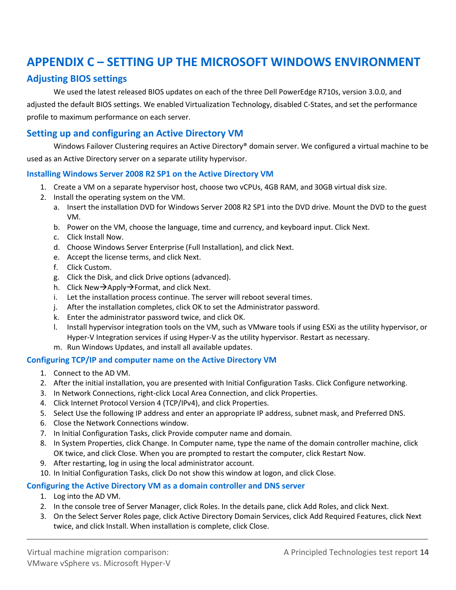## **APPENDIX C – SETTING UP THE MICROSOFT WINDOWS ENVIRONMENT**

### **Adjusting BIOS settings**

We used the latest released BIOS updates on each of the three Dell PowerEdge R710s, version 3.0.0, and adjusted the default BIOS settings. We enabled Virtualization Technology, disabled C-States, and set the performance profile to maximum performance on each server.

### **Setting up and configuring an Active Directory VM**

Windows Failover Clustering requires an Active Directory<sup>®</sup> domain server. We configured a virtual machine to be used as an Active Directory server on a separate utility hypervisor.

#### **Installing Windows Server 2008 R2 SP1 on the Active Directory VM**

- 1. Create a VM on a separate hypervisor host, choose two vCPUs, 4GB RAM, and 30GB virtual disk size.
- 2. Install the operating system on the VM.
	- a. Insert the installation DVD for Windows Server 2008 R2 SP1 into the DVD drive. Mount the DVD to the guest VM.
	- b. Power on the VM, choose the language, time and currency, and keyboard input. Click Next.
	- c. Click Install Now.
	- d. Choose Windows Server Enterprise (Full Installation), and click Next.
	- e. Accept the license terms, and click Next.
	- f. Click Custom.
	- g. Click the Disk, and click Drive options (advanced).
	- h. Click New $\rightarrow$ Apply $\rightarrow$ Format, and click Next.
	- i. Let the installation process continue. The server will reboot several times.
	- j. After the installation completes, click OK to set the Administrator password.
	- k. Enter the administrator password twice, and click OK.
	- l. Install hypervisor integration tools on the VM, such as VMware tools if using ESXi as the utility hypervisor, or Hyper-V Integration services if using Hyper-V as the utility hypervisor. Restart as necessary.
	- m. Run Windows Updates, and install all available updates.

#### **Configuring TCP/IP and computer name on the Active Directory VM**

- 1. Connect to the AD VM.
- 2. After the initial installation, you are presented with Initial Configuration Tasks. Click Configure networking.
- 3. In Network Connections, right-click Local Area Connection, and click Properties.
- 4. Click Internet Protocol Version 4 (TCP/IPv4), and click Properties.
- 5. Select Use the following IP address and enter an appropriate IP address, subnet mask, and Preferred DNS.
- 6. Close the Network Connections window.
- 7. In Initial Configuration Tasks, click Provide computer name and domain.
- 8. In System Properties, click Change. In Computer name, type the name of the domain controller machine, click OK twice, and click Close. When you are prompted to restart the computer, click Restart Now.
- 9. After restarting, log in using the local administrator account.
- 10. In Initial Configuration Tasks, click Do not show this window at logon, and click Close.

#### **Configuring the Active Directory VM as a domain controller and DNS server**

- 1. Log into the AD VM.
- 2. In the console tree of Server Manager, click Roles. In the details pane, click Add Roles, and click Next.
- 3. On the Select Server Roles page, click Active Directory Domain Services, click Add Required Features, click Next twice, and click Install. When installation is complete, click Close.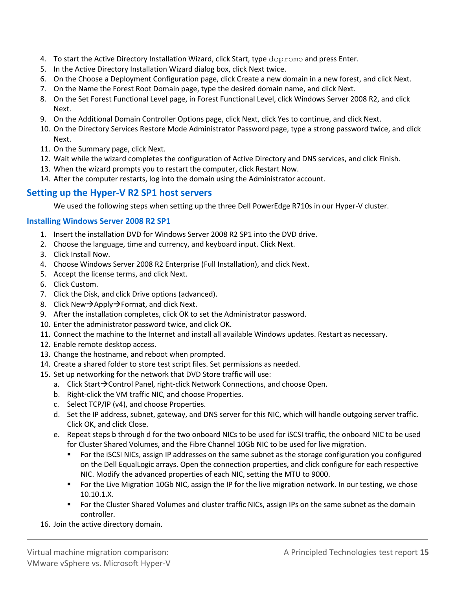- 4. To start the Active Directory Installation Wizard, click Start, type depromo and press Enter.
- 5. In the Active Directory Installation Wizard dialog box, click Next twice.
- 6. On the Choose a Deployment Configuration page, click Create a new domain in a new forest, and click Next.
- 7. On the Name the Forest Root Domain page, type the desired domain name, and click Next.
- 8. On the Set Forest Functional Level page, in Forest Functional Level, click Windows Server 2008 R2, and click Next.
- 9. On the Additional Domain Controller Options page, click Next, click Yes to continue, and click Next.
- 10. On the Directory Services Restore Mode Administrator Password page, type a strong password twice, and click Next.
- 11. On the Summary page, click Next.
- 12. Wait while the wizard completes the configuration of Active Directory and DNS services, and click Finish.
- 13. When the wizard prompts you to restart the computer, click Restart Now.
- 14. After the computer restarts, log into the domain using the Administrator account.

### **Setting up the Hyper-V R2 SP1 host servers**

We used the following steps when setting up the three Dell PowerEdge R710s in our Hyper-V cluster.

#### **Installing Windows Server 2008 R2 SP1**

- 1. Insert the installation DVD for Windows Server 2008 R2 SP1 into the DVD drive.
- 2. Choose the language, time and currency, and keyboard input. Click Next.
- 3. Click Install Now.
- 4. Choose Windows Server 2008 R2 Enterprise (Full Installation), and click Next.
- 5. Accept the license terms, and click Next.
- 6. Click Custom.
- 7. Click the Disk, and click Drive options (advanced).
- 8. Click New $\rightarrow$ Apply $\rightarrow$ Format, and click Next.
- 9. After the installation completes, click OK to set the Administrator password.
- 10. Enter the administrator password twice, and click OK.
- 11. Connect the machine to the Internet and install all available Windows updates. Restart as necessary.
- 12. Enable remote desktop access.
- 13. Change the hostname, and reboot when prompted.
- 14. Create a shared folder to store test script files. Set permissions as needed.
- 15. Set up networking for the network that DVD Store traffic will use:
	- a. Click Start $\rightarrow$ Control Panel, right-click Network Connections, and choose Open.
	- b. Right-click the VM traffic NIC, and choose Properties.
	- c. Select TCP/IP (v4), and choose Properties.
	- d. Set the IP address, subnet, gateway, and DNS server for this NIC, which will handle outgoing server traffic. Click OK, and click Close.
	- e. Repeat steps b through d for the two onboard NICs to be used for iSCSI traffic, the onboard NIC to be used for Cluster Shared Volumes, and the Fibre Channel 10Gb NIC to be used for live migration.
		- For the iSCSI NICs, assign IP addresses on the same subnet as the storage configuration you configured on the Dell EqualLogic arrays. Open the connection properties, and click configure for each respective NIC. Modify the advanced properties of each NIC, setting the MTU to 9000.
		- **For the Live Migration 10Gb NIC, assign the IP for the live migration network. In our testing, we chose** 10.10.1.X.
		- **For the Cluster Shared Volumes and cluster traffic NICs, assign IPs on the same subnet as the domain** controller.
- 16. Join the active directory domain.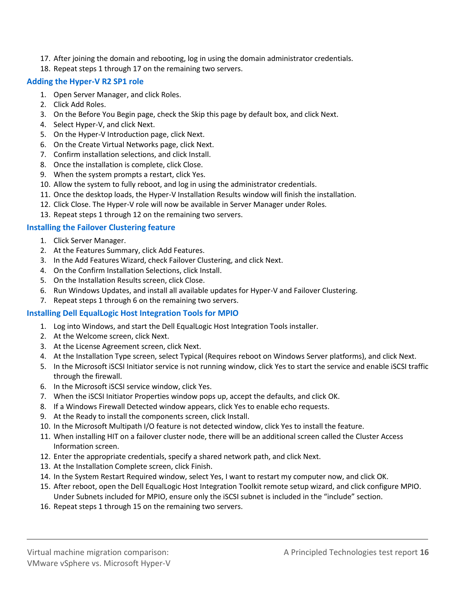- 17. After joining the domain and rebooting, log in using the domain administrator credentials.
- 18. Repeat steps 1 through 17 on the remaining two servers.

#### **Adding the Hyper-V R2 SP1 role**

- 1. Open Server Manager, and click Roles.
- 2. Click Add Roles.
- 3. On the Before You Begin page, check the Skip this page by default box, and click Next.
- 4. Select Hyper-V, and click Next.
- 5. On the Hyper-V Introduction page, click Next.
- 6. On the Create Virtual Networks page, click Next.
- 7. Confirm installation selections, and click Install.
- 8. Once the installation is complete, click Close.
- 9. When the system prompts a restart, click Yes.
- 10. Allow the system to fully reboot, and log in using the administrator credentials.
- 11. Once the desktop loads, the Hyper-V Installation Results window will finish the installation.
- 12. Click Close. The Hyper-V role will now be available in Server Manager under Roles.
- 13. Repeat steps 1 through 12 on the remaining two servers.

#### **Installing the Failover Clustering feature**

- 1. Click Server Manager.
- 2. At the Features Summary, click Add Features.
- 3. In the Add Features Wizard, check Failover Clustering, and click Next.
- 4. On the Confirm Installation Selections, click Install.
- 5. On the Installation Results screen, click Close.
- 6. Run Windows Updates, and install all available updates for Hyper-V and Failover Clustering.
- 7. Repeat steps 1 through 6 on the remaining two servers.

#### **Installing Dell EqualLogic Host Integration Tools for MPIO**

- 1. Log into Windows, and start the Dell EqualLogic Host Integration Tools installer.
- 2. At the Welcome screen, click Next.
- 3. At the License Agreement screen, click Next.
- 4. At the Installation Type screen, select Typical (Requires reboot on Windows Server platforms), and click Next.
- 5. In the Microsoft iSCSI Initiator service is not running window, click Yes to start the service and enable iSCSI traffic through the firewall.
- 6. In the Microsoft iSCSI service window, click Yes.
- 7. When the iSCSI Initiator Properties window pops up, accept the defaults, and click OK.
- 8. If a Windows Firewall Detected window appears, click Yes to enable echo requests.
- 9. At the Ready to install the components screen, click Install.
- 10. In the Microsoft Multipath I/O feature is not detected window, click Yes to install the feature.
- 11. When installing HIT on a failover cluster node, there will be an additional screen called the Cluster Access Information screen.
- 12. Enter the appropriate credentials, specify a shared network path, and click Next.
- 13. At the Installation Complete screen, click Finish.
- 14. In the System Restart Required window, select Yes, I want to restart my computer now, and click OK.
- 15. After reboot, open the Dell EqualLogic Host Integration Toolkit remote setup wizard, and click configure MPIO. Under Subnets included for MPIO, ensure only the iSCSI subnet is included in the "include" section.
- 16. Repeat steps 1 through 15 on the remaining two servers.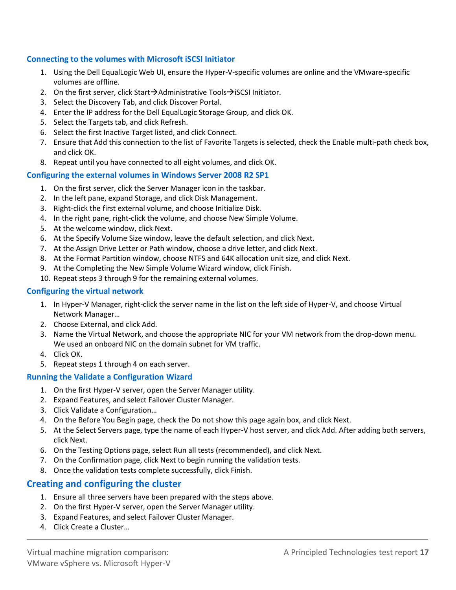#### **Connecting to the volumes with Microsoft iSCSI Initiator**

- 1. Using the Dell EqualLogic Web UI, ensure the Hyper-V-specific volumes are online and the VMware-specific volumes are offline.
- 2. On the first server, click Start $\rightarrow$ Administrative Tools $\rightarrow$ iSCSI Initiator.
- 3. Select the Discovery Tab, and click Discover Portal.
- 4. Enter the IP address for the Dell EqualLogic Storage Group, and click OK.
- 5. Select the Targets tab, and click Refresh.
- 6. Select the first Inactive Target listed, and click Connect.
- 7. Ensure that Add this connection to the list of Favorite Targets is selected, check the Enable multi-path check box, and click OK.
- 8. Repeat until you have connected to all eight volumes, and click OK.

#### **Configuring the external volumes in Windows Server 2008 R2 SP1**

- 1. On the first server, click the Server Manager icon in the taskbar.
- 2. In the left pane, expand Storage, and click Disk Management.
- 3. Right-click the first external volume, and choose Initialize Disk.
- 4. In the right pane, right-click the volume, and choose New Simple Volume.
- 5. At the welcome window, click Next.
- 6. At the Specify Volume Size window, leave the default selection, and click Next.
- 7. At the Assign Drive Letter or Path window, choose a drive letter, and click Next.
- 8. At the Format Partition window, choose NTFS and 64K allocation unit size, and click Next.
- 9. At the Completing the New Simple Volume Wizard window, click Finish.
- 10. Repeat steps 3 through 9 for the remaining external volumes.

#### **Configuring the virtual network**

- 1. In Hyper-V Manager, right-click the server name in the list on the left side of Hyper-V, and choose Virtual Network Manager…
- 2. Choose External, and click Add.
- 3. Name the Virtual Network, and choose the appropriate NIC for your VM network from the drop-down menu. We used an onboard NIC on the domain subnet for VM traffic.
- 4. Click OK.
- 5. Repeat steps 1 through 4 on each server.

#### **Running the Validate a Configuration Wizard**

- 1. On the first Hyper-V server, open the Server Manager utility.
- 2. Expand Features, and select Failover Cluster Manager.
- 3. Click Validate a Configuration…
- 4. On the Before You Begin page, check the Do not show this page again box, and click Next.
- 5. At the Select Servers page, type the name of each Hyper-V host server, and click Add. After adding both servers, click Next.
- 6. On the Testing Options page, select Run all tests (recommended), and click Next.
- 7. On the Confirmation page, click Next to begin running the validation tests.
- 8. Once the validation tests complete successfully, click Finish.

### **Creating and configuring the cluster**

- 1. Ensure all three servers have been prepared with the steps above.
- 2. On the first Hyper-V server, open the Server Manager utility.
- 3. Expand Features, and select Failover Cluster Manager.
- 4. Click Create a Cluster…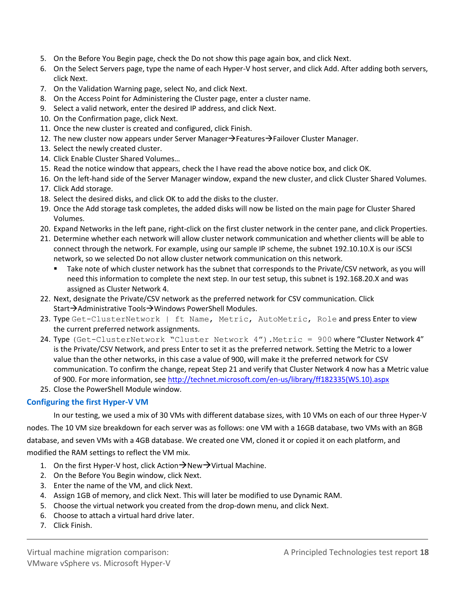- 5. On the Before You Begin page, check the Do not show this page again box, and click Next.
- 6. On the Select Servers page, type the name of each Hyper-V host server, and click Add. After adding both servers, click Next.
- 7. On the Validation Warning page, select No, and click Next.
- 8. On the Access Point for Administering the Cluster page, enter a cluster name.
- 9. Select a valid network, enter the desired IP address, and click Next.
- 10. On the Confirmation page, click Next.
- 11. Once the new cluster is created and configured, click Finish.
- 12. The new cluster now appears under Server Manager $\rightarrow$ Features $\rightarrow$ Failover Cluster Manager.
- 13. Select the newly created cluster.
- 14. Click Enable Cluster Shared Volumes…
- 15. Read the notice window that appears, check the I have read the above notice box, and click OK.
- 16. On the left-hand side of the Server Manager window, expand the new cluster, and click Cluster Shared Volumes.
- 17. Click Add storage.
- 18. Select the desired disks, and click OK to add the disks to the cluster.
- 19. Once the Add storage task completes, the added disks will now be listed on the main page for Cluster Shared Volumes.
- 20. Expand Networks in the left pane, right-click on the first cluster network in the center pane, and click Properties.
- 21. Determine whether each network will allow cluster network communication and whether clients will be able to connect through the network. For example, using our sample IP scheme, the subnet 192.10.10.X is our iSCSI network, so we selected Do not allow cluster network communication on this network.
	- Take note of which cluster network has the subnet that corresponds to the Private/CSV network, as you will need this information to complete the next step. In our test setup, this subnet is 192.168.20.X and was assigned as Cluster Network 4.
- 22. Next, designate the Private/CSV network as the preferred network for CSV communication. Click Start→Administrative Tools→Windows PowerShell Modules.
- 23. Type Get-ClusterNetwork | ft Name, Metric, AutoMetric, Role and press Enter to view the current preferred network assignments.
- 24. Type (Get-ClusterNetwork "Cluster Network 4").Metric = 900 where "Cluster Network 4" is the Private/CSV Network, and press Enter to set it as the preferred network. Setting the Metric to a lower value than the other networks, in this case a value of 900, will make it the preferred network for CSV communication. To confirm the change, repeat Step 21 and verify that Cluster Network 4 now has a Metric value of 900. For more information, see [http://technet.microsoft.com/en-us/library/ff182335\(WS.10\).aspx](http://technet.microsoft.com/en-us/library/ff182335(WS.10).aspx)
- 25. Close the PowerShell Module window.

#### **Configuring the first Hyper-V VM**

In our testing, we used a mix of 30 VMs with different database sizes, with 10 VMs on each of our three Hyper-V nodes. The 10 VM size breakdown for each server was as follows: one VM with a 16GB database, two VMs with an 8GB database, and seven VMs with a 4GB database. We created one VM, cloned it or copied it on each platform, and modified the RAM settings to reflect the VM mix.

- 1. On the first Hyper-V host, click Action  $\rightarrow$  New  $\rightarrow$  Virtual Machine.
- 2. On the Before You Begin window, click Next.
- 3. Enter the name of the VM, and click Next.
- 4. Assign 1GB of memory, and click Next. This will later be modified to use Dynamic RAM.
- 5. Choose the virtual network you created from the drop-down menu, and click Next.
- 6. Choose to attach a virtual hard drive later.
- 7. Click Finish.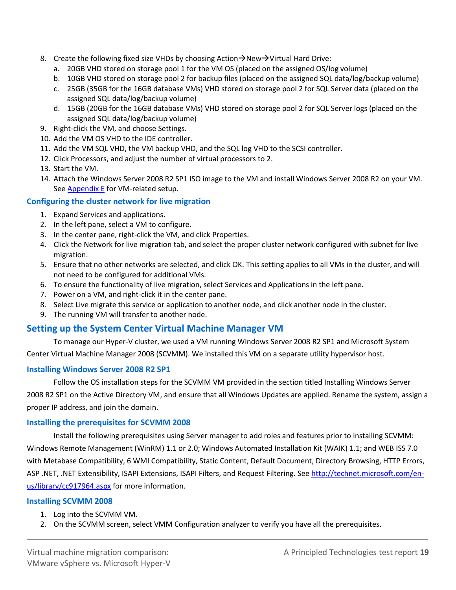- 8. Create the following fixed size VHDs by choosing Action $\rightarrow$ New $\rightarrow$ Virtual Hard Drive:
	- a. 20GB VHD stored on storage pool 1 for the VM OS (placed on the assigned OS/log volume)
	- b. 10GB VHD stored on storage pool 2 for backup files (placed on the assigned SQL data/log/backup volume)
	- c. 25GB (35GB for the 16GB database VMs) VHD stored on storage pool 2 for SQL Server data (placed on the assigned SQL data/log/backup volume)
	- d. 15GB (20GB for the 16GB database VMs) VHD stored on storage pool 2 for SQL Server logs (placed on the assigned SQL data/log/backup volume)
- 9. Right-click the VM, and choose Settings.
- 10. Add the VM OS VHD to the IDE controller.
- 11. Add the VM SQL VHD, the VM backup VHD, and the SQL log VHD to the SCSI controller.
- 12. Click Processors, and adjust the number of virtual processors to 2.
- 13. Start the VM.
- 14. Attach the Windows Server 2008 R2 SP1 ISO image to the VM and install Windows Server 2008 R2 on your VM. Se[e Appendix E](#page-24-0) for VM-related setup.

#### **Configuring the cluster network for live migration**

- 1. Expand Services and applications.
- 2. In the left pane, select a VM to configure.
- 3. In the center pane, right-click the VM, and click Properties.
- 4. Click the Network for live migration tab, and select the proper cluster network configured with subnet for live migration.
- 5. Ensure that no other networks are selected, and click OK. This setting applies to all VMs in the cluster, and will not need to be configured for additional VMs.
- 6. To ensure the functionality of live migration, select Services and Applications in the left pane.
- 7. Power on a VM, and right-click it in the center pane.
- 8. Select Live migrate this service or application to another node, and click another node in the cluster.
- 9. The running VM will transfer to another node.

### **Setting up the System Center Virtual Machine Manager VM**

To manage our Hyper-V cluster, we used a VM running Windows Server 2008 R2 SP1 and Microsoft System Center Virtual Machine Manager 2008 (SCVMM). We installed this VM on a separate utility hypervisor host.

#### **Installing Windows Server 2008 R2 SP1**

Follow the OS installation steps for the SCVMM VM provided in the section titled Installing Windows Server 2008 R2 SP1 on the Active Directory VM, and ensure that all Windows Updates are applied. Rename the system, assign a proper IP address, and join the domain.

#### **Installing the prerequisites for SCVMM 2008**

Install the following prerequisites using Server manager to add roles and features prior to installing SCVMM: Windows Remote Management (WinRM) 1.1 or 2.0; Windows Automated Installation Kit (WAIK) 1.1; and WEB ISS 7.0 with Metabase Compatibility, 6 WMI Compatibility, Static Content, Default Document, Directory Browsing, HTTP Errors, ASP .NET, .NET Extensibility, ISAPI Extensions, ISAPI Filters, and Request Filtering. See [http://technet.microsoft.com/en](http://technet.microsoft.com/en-us/library/cc917964.aspx)[us/library/cc917964.aspx](http://technet.microsoft.com/en-us/library/cc917964.aspx) for more information.

#### **Installing SCVMM 2008**

- 1. Log into the SCVMM VM.
- 2. On the SCVMM screen, select VMM Configuration analyzer to verify you have all the prerequisites.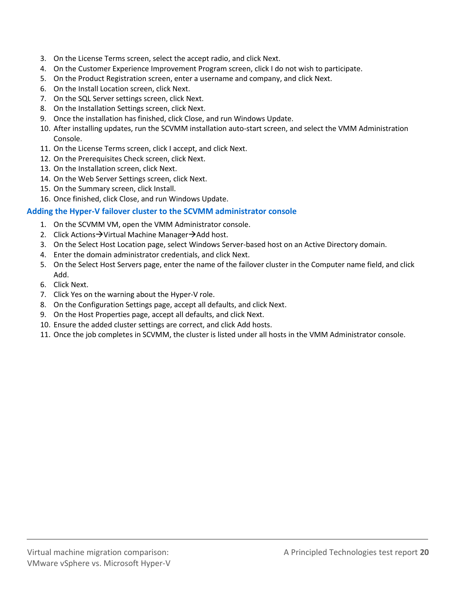- 3. On the License Terms screen, select the accept radio, and click Next.
- 4. On the Customer Experience Improvement Program screen, click I do not wish to participate.
- 5. On the Product Registration screen, enter a username and company, and click Next.
- 6. On the Install Location screen, click Next.
- 7. On the SQL Server settings screen, click Next.
- 8. On the Installation Settings screen, click Next.
- 9. Once the installation has finished, click Close, and run Windows Update.
- 10. After installing updates, run the SCVMM installation auto-start screen, and select the VMM Administration Console.
- 11. On the License Terms screen, click I accept, and click Next.
- 12. On the Prerequisites Check screen, click Next.
- 13. On the Installation screen, click Next.
- 14. On the Web Server Settings screen, click Next.
- 15. On the Summary screen, click Install.
- 16. Once finished, click Close, and run Windows Update.

#### **Adding the Hyper-V failover cluster to the SCVMM administrator console**

- 1. On the SCVMM VM, open the VMM Administrator console.
- 2. Click Actions  $\rightarrow$  Virtual Machine Manager $\rightarrow$  Add host.
- 3. On the Select Host Location page, select Windows Server-based host on an Active Directory domain.
- 4. Enter the domain administrator credentials, and click Next.
- 5. On the Select Host Servers page, enter the name of the failover cluster in the Computer name field, and click Add.
- 6. Click Next.
- 7. Click Yes on the warning about the Hyper-V role.
- 8. On the Configuration Settings page, accept all defaults, and click Next.
- 9. On the Host Properties page, accept all defaults, and click Next.
- 10. Ensure the added cluster settings are correct, and click Add hosts.
- 11. Once the job completes in SCVMM, the cluster is listed under all hosts in the VMM Administrator console.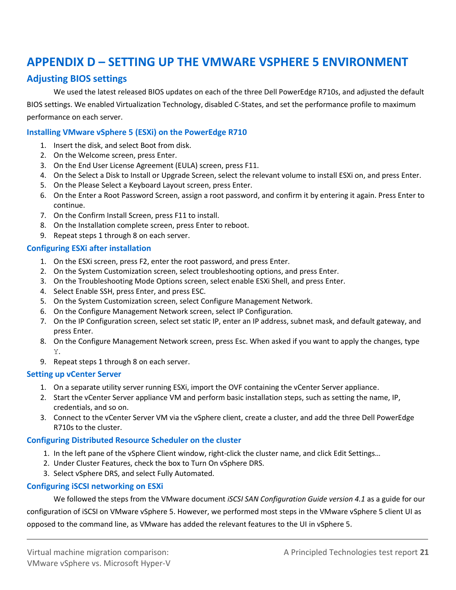## **APPENDIX D – SETTING UP THE VMWARE VSPHERE 5 ENVIRONMENT**

### **Adjusting BIOS settings**

We used the latest released BIOS updates on each of the three Dell PowerEdge R710s, and adjusted the default BIOS settings. We enabled Virtualization Technology, disabled C-States, and set the performance profile to maximum performance on each server.

#### **Installing VMware vSphere 5 (ESXi) on the PowerEdge R710**

- 1. Insert the disk, and select Boot from disk.
- 2. On the Welcome screen, press Enter.
- 3. On the End User License Agreement (EULA) screen, press F11.
- 4. On the Select a Disk to Install or Upgrade Screen, select the relevant volume to install ESXi on, and press Enter.
- 5. On the Please Select a Keyboard Layout screen, press Enter.
- 6. On the Enter a Root Password Screen, assign a root password, and confirm it by entering it again. Press Enter to continue.
- 7. On the Confirm Install Screen, press F11 to install.
- 8. On the Installation complete screen, press Enter to reboot.
- 9. Repeat steps 1 through 8 on each server.

#### **Configuring ESXi after installation**

- 1. On the ESXi screen, press F2, enter the root password, and press Enter.
- 2. On the System Customization screen, select troubleshooting options, and press Enter.
- 3. On the Troubleshooting Mode Options screen, select enable ESXi Shell, and press Enter.
- 4. Select Enable SSH, press Enter, and press ESC.
- 5. On the System Customization screen, select Configure Management Network.
- 6. On the Configure Management Network screen, select IP Configuration.
- 7. On the IP Configuration screen, select set static IP, enter an IP address, subnet mask, and default gateway, and press Enter.
- 8. On the Configure Management Network screen, press Esc. When asked if you want to apply the changes, type Y.
- 9. Repeat steps 1 through 8 on each server.

#### **Setting up vCenter Server**

- 1. On a separate utility server running ESXi, import the OVF containing the vCenter Server appliance.
- 2. Start the vCenter Server appliance VM and perform basic installation steps, such as setting the name, IP, credentials, and so on.
- 3. Connect to the vCenter Server VM via the vSphere client, create a cluster, and add the three Dell PowerEdge R710s to the cluster.

#### **Configuring Distributed Resource Scheduler on the cluster**

- 1. In the left pane of the vSphere Client window, right-click the cluster name, and click Edit Settings…
- 2. Under Cluster Features, check the box to Turn On vSphere DRS.
- 3. Select vSphere DRS, and select Fully Automated.

#### **Configuring iSCSI networking on ESXi**

We followed the steps from the VMware document *iSCSI SAN Configuration Guide version 4.1* as a guide for our

configuration of iSCSI on VMware vSphere 5. However, we performed most steps in the VMware vSphere 5 client UI as opposed to the command line, as VMware has added the relevant features to the UI in vSphere 5.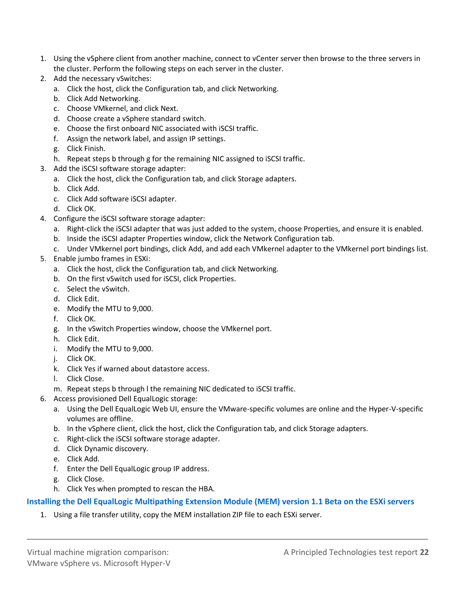- 1. Using the vSphere client from another machine, connect to vCenter server then browse to the three servers in the cluster. Perform the following steps on each server in the cluster.
- 2. Add the necessary vSwitches:
	- a. Click the host, click the Configuration tab, and click Networking.
	- b. Click Add Networking.
	- c. Choose VMkernel, and click Next.
	- d. Choose create a vSphere standard switch.
	- e. Choose the first onboard NIC associated with iSCSI traffic.
	- f. Assign the network label, and assign IP settings.
	- g. Click Finish.
	- h. Repeat steps b through g for the remaining NIC assigned to iSCSI traffic.
- 3. Add the iSCSI software storage adapter:
	- a. Click the host, click the Configuration tab, and click Storage adapters.
	- b. Click Add.
	- c. Click Add software iSCSI adapter.
	- d. Click OK.
- 4. Configure the iSCSI software storage adapter:
	- a. Right-click the iSCSI adapter that was just added to the system, choose Properties, and ensure it is enabled.
	- b. Inside the iSCSI adapter Properties window, click the Network Configuration tab.
	- c. Under VMkernel port bindings, click Add, and add each VMkernel adapter to the VMkernel port bindings list.
- 5. Enable jumbo frames in ESXi:
	- a. Click the host, click the Configuration tab, and click Networking.
	- b. On the first vSwitch used for iSCSI, click Properties.
	- c. Select the vSwitch.
	- d. Click Edit.
	- e. Modify the MTU to 9,000.
	- f. Click OK.
	- g. In the vSwitch Properties window, choose the VMkernel port.
	- h. Click Edit.
	- i. Modify the MTU to 9,000.
	- j. Click OK.
	- k. Click Yes if warned about datastore access.
	- l. Click Close.
	- m. Repeat steps b through l the remaining NIC dedicated to iSCSI traffic.
- 6. Access provisioned Dell EqualLogic storage:
	- a. Using the Dell EqualLogic Web UI, ensure the VMware-specific volumes are online and the Hyper-V-specific volumes are offline.
	- b. In the vSphere client, click the host, click the Configuration tab, and click Storage adapters.
	- c. Right-click the iSCSI software storage adapter.
	- d. Click Dynamic discovery.
	- e. Click Add.
	- f. Enter the Dell EqualLogic group IP address.
	- g. Click Close.
	- h. Click Yes when prompted to rescan the HBA.

#### **Installing the Dell EqualLogic Multipathing Extension Module (MEM) version 1.1 Beta on the ESXi servers**

1. Using a file transfer utility, copy the MEM installation ZIP file to each ESXi server.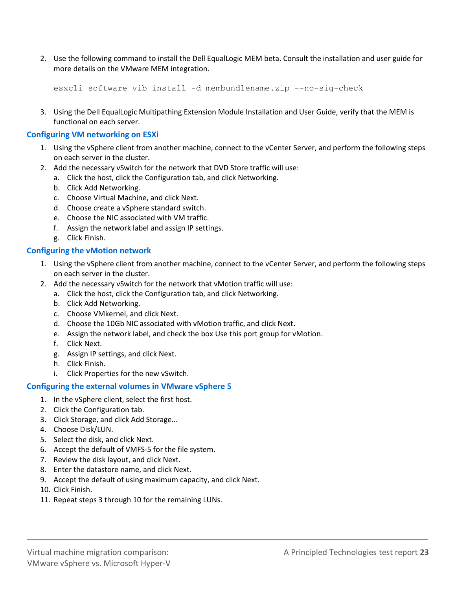2. Use the following command to install the Dell EqualLogic MEM beta. Consult the installation and user guide for more details on the VMware MEM integration.

```
esxcli software vib install -d membundlename.zip --no-sig-check
```
3. Using the Dell EqualLogic Multipathing Extension Module Installation and User Guide, verify that the MEM is functional on each server.

#### **Configuring VM networking on ESXi**

- 1. Using the vSphere client from another machine, connect to the vCenter Server, and perform the following steps on each server in the cluster.
- 2. Add the necessary vSwitch for the network that DVD Store traffic will use:
	- a. Click the host, click the Configuration tab, and click Networking.
	- b. Click Add Networking.
	- c. Choose Virtual Machine, and click Next.
	- d. Choose create a vSphere standard switch.
	- e. Choose the NIC associated with VM traffic.
	- f. Assign the network label and assign IP settings.
	- g. Click Finish.

#### **Configuring the vMotion network**

- 1. Using the vSphere client from another machine, connect to the vCenter Server, and perform the following steps on each server in the cluster.
- 2. Add the necessary vSwitch for the network that vMotion traffic will use:
	- a. Click the host, click the Configuration tab, and click Networking.
	- b. Click Add Networking.
	- c. Choose VMkernel, and click Next.
	- d. Choose the 10Gb NIC associated with vMotion traffic, and click Next.
	- e. Assign the network label, and check the box Use this port group for vMotion.
	- f. Click Next.
	- g. Assign IP settings, and click Next.
	- h. Click Finish.
	- i. Click Properties for the new vSwitch.

#### **Configuring the external volumes in VMware vSphere 5**

- 1. In the vSphere client, select the first host.
- 2. Click the Configuration tab.
- 3. Click Storage, and click Add Storage…
- 4. Choose Disk/LUN.
- 5. Select the disk, and click Next.
- 6. Accept the default of VMFS-5 for the file system.
- 7. Review the disk layout, and click Next.
- 8. Enter the datastore name, and click Next.
- 9. Accept the default of using maximum capacity, and click Next.
- 10. Click Finish.
- 11. Repeat steps 3 through 10 for the remaining LUNs.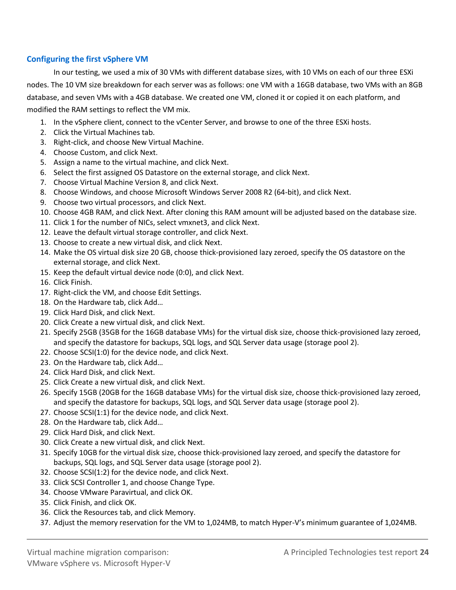#### **Configuring the first vSphere VM**

In our testing, we used a mix of 30 VMs with different database sizes, with 10 VMs on each of our three ESXi nodes. The 10 VM size breakdown for each server was as follows: one VM with a 16GB database, two VMs with an 8GB database, and seven VMs with a 4GB database. We created one VM, cloned it or copied it on each platform, and modified the RAM settings to reflect the VM mix.

- 1. In the vSphere client, connect to the vCenter Server, and browse to one of the three ESXi hosts.
- 2. Click the Virtual Machines tab.
- 3. Right-click, and choose New Virtual Machine.
- 4. Choose Custom, and click Next.
- 5. Assign a name to the virtual machine, and click Next.
- 6. Select the first assigned OS Datastore on the external storage, and click Next.
- 7. Choose Virtual Machine Version 8, and click Next.
- 8. Choose Windows, and choose Microsoft Windows Server 2008 R2 (64-bit), and click Next.
- 9. Choose two virtual processors, and click Next.
- 10. Choose 4GB RAM, and click Next. After cloning this RAM amount will be adjusted based on the database size.
- 11. Click 1 for the number of NICs, select vmxnet3, and click Next.
- 12. Leave the default virtual storage controller, and click Next.
- 13. Choose to create a new virtual disk, and click Next.
- 14. Make the OS virtual disk size 20 GB, choose thick-provisioned lazy zeroed, specify the OS datastore on the external storage, and click Next.
- 15. Keep the default virtual device node (0:0), and click Next.
- 16. Click Finish.
- 17. Right-click the VM, and choose Edit Settings.
- 18. On the Hardware tab, click Add…
- 19. Click Hard Disk, and click Next.
- 20. Click Create a new virtual disk, and click Next.
- 21. Specify 25GB (35GB for the 16GB database VMs) for the virtual disk size, choose thick-provisioned lazy zeroed, and specify the datastore for backups, SQL logs, and SQL Server data usage (storage pool 2).
- 22. Choose SCSI(1:0) for the device node, and click Next.
- 23. On the Hardware tab, click Add…
- 24. Click Hard Disk, and click Next.
- 25. Click Create a new virtual disk, and click Next.
- 26. Specify 15GB (20GB for the 16GB database VMs) for the virtual disk size, choose thick-provisioned lazy zeroed, and specify the datastore for backups, SQL logs, and SQL Server data usage (storage pool 2).
- 27. Choose SCSI(1:1) for the device node, and click Next.
- 28. On the Hardware tab, click Add…
- 29. Click Hard Disk, and click Next.
- 30. Click Create a new virtual disk, and click Next.
- 31. Specify 10GB for the virtual disk size, choose thick-provisioned lazy zeroed, and specify the datastore for backups, SQL logs, and SQL Server data usage (storage pool 2).
- 32. Choose SCSI(1:2) for the device node, and click Next.
- 33. Click SCSI Controller 1, and choose Change Type.
- 34. Choose VMware Paravirtual, and click OK.
- 35. Click Finish, and click OK.
- 36. Click the Resources tab, and click Memory.
- 37. Adjust the memory reservation for the VM to 1,024MB, to match Hyper-V's minimum guarantee of 1,024MB.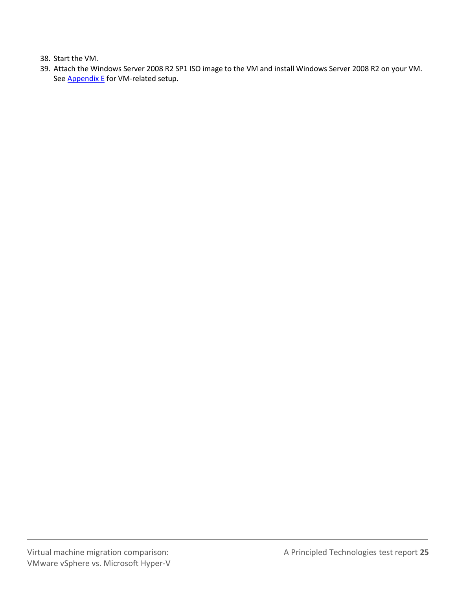38. Start the VM.

<span id="page-24-0"></span>39. Attach the Windows Server 2008 R2 SP1 ISO image to the VM and install Windows Server 2008 R2 on your VM. See **Appendix E** for VM-related setup.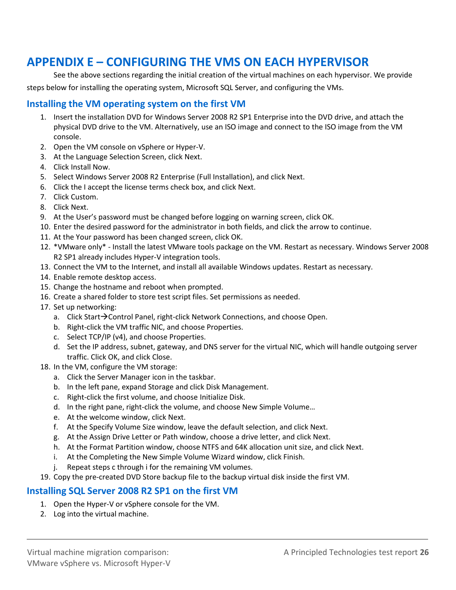## **APPENDIX E – CONFIGURING THE VMS ON EACH HYPERVISOR**

See the above sections regarding the initial creation of the virtual machines on each hypervisor. We provide steps below for installing the operating system, Microsoft SQL Server, and configuring the VMs.

### **Installing the VM operating system on the first VM**

- 1. Insert the installation DVD for Windows Server 2008 R2 SP1 Enterprise into the DVD drive, and attach the physical DVD drive to the VM. Alternatively, use an ISO image and connect to the ISO image from the VM console.
- 2. Open the VM console on vSphere or Hyper-V.
- 3. At the Language Selection Screen, click Next.
- 4. Click Install Now.
- 5. Select Windows Server 2008 R2 Enterprise (Full Installation), and click Next.
- 6. Click the I accept the license terms check box, and click Next.
- 7. Click Custom.
- 8. Click Next.
- 9. At the User's password must be changed before logging on warning screen, click OK.
- 10. Enter the desired password for the administrator in both fields, and click the arrow to continue.
- 11. At the Your password has been changed screen, click OK.
- 12. \*VMware only\* Install the latest VMware tools package on the VM. Restart as necessary. Windows Server 2008 R2 SP1 already includes Hyper-V integration tools.
- 13. Connect the VM to the Internet, and install all available Windows updates. Restart as necessary.
- 14. Enable remote desktop access.
- 15. Change the hostname and reboot when prompted.
- 16. Create a shared folder to store test script files. Set permissions as needed.
- 17. Set up networking:
	- a. Click Start $\rightarrow$  Control Panel, right-click Network Connections, and choose Open.
	- b. Right-click the VM traffic NIC, and choose Properties.
	- c. Select TCP/IP (v4), and choose Properties.
	- d. Set the IP address, subnet, gateway, and DNS server for the virtual NIC, which will handle outgoing server traffic. Click OK, and click Close.
- 18. In the VM, configure the VM storage:
	- a. Click the Server Manager icon in the taskbar.
	- b. In the left pane, expand Storage and click Disk Management.
	- c. Right-click the first volume, and choose Initialize Disk.
	- d. In the right pane, right-click the volume, and choose New Simple VoIume…
	- e. At the welcome window, click Next.
	- f. At the Specify Volume Size window, leave the default selection, and click Next.
	- g. At the Assign Drive Letter or Path window, choose a drive letter, and click Next.
	- h. At the Format Partition window, choose NTFS and 64K allocation unit size, and click Next.
	- i. At the Completing the New Simple Volume Wizard window, click Finish.
	- j. Repeat steps c through i for the remaining VM volumes.
- 19. Copy the pre-created DVD Store backup file to the backup virtual disk inside the first VM.

### **Installing SQL Server 2008 R2 SP1 on the first VM**

- 1. Open the Hyper-V or vSphere console for the VM.
- 2. Log into the virtual machine.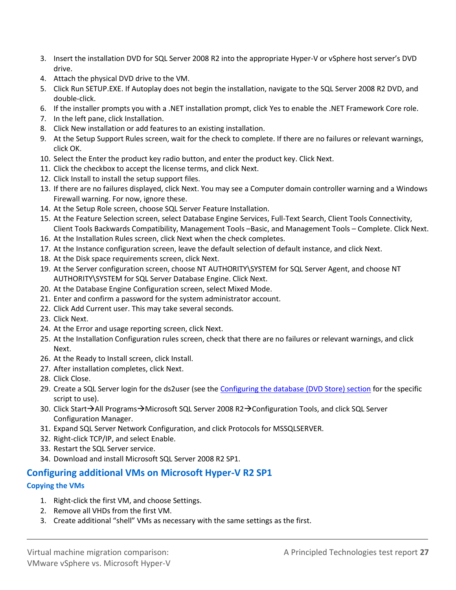- 3. Insert the installation DVD for SQL Server 2008 R2 into the appropriate Hyper-V or vSphere host server's DVD drive.
- 4. Attach the physical DVD drive to the VM.
- 5. Click Run SETUP.EXE. If Autoplay does not begin the installation, navigate to the SQL Server 2008 R2 DVD, and double-click.
- 6. If the installer prompts you with a .NET installation prompt, click Yes to enable the .NET Framework Core role.
- 7. In the left pane, click Installation.
- 8. Click New installation or add features to an existing installation.
- 9. At the Setup Support Rules screen, wait for the check to complete. If there are no failures or relevant warnings, click OK.
- 10. Select the Enter the product key radio button, and enter the product key. Click Next.
- 11. Click the checkbox to accept the license terms, and click Next.
- 12. Click Install to install the setup support files.
- 13. If there are no failures displayed, click Next. You may see a Computer domain controller warning and a Windows Firewall warning. For now, ignore these.
- 14. At the Setup Role screen, choose SQL Server Feature Installation.
- 15. At the Feature Selection screen, select Database Engine Services, Full-Text Search, Client Tools Connectivity, Client Tools Backwards Compatibility, Management Tools –Basic, and Management Tools – Complete. Click Next.
- 16. At the Installation Rules screen, click Next when the check completes.
- 17. At the Instance configuration screen, leave the default selection of default instance, and click Next.
- 18. At the Disk space requirements screen, click Next.
- 19. At the Server configuration screen, choose NT AUTHORITY\SYSTEM for SQL Server Agent, and choose NT AUTHORITY\SYSTEM for SQL Server Database Engine. Click Next.
- 20. At the Database Engine Configuration screen, select Mixed Mode.
- 21. Enter and confirm a password for the system administrator account.
- 22. Click Add Current user. This may take several seconds.
- 23. Click Next.
- 24. At the Error and usage reporting screen, click Next.
- 25. At the Installation Configuration rules screen, check that there are no failures or relevant warnings, and click Next.
- 26. At the Ready to Install screen, click Install.
- 27. After installation completes, click Next.
- 28. Click Close.
- 29. Create a SQL Server login for the ds2user (see the [Configuring the database \(DVD Store\) section](#page-29-0) for the specific script to use).
- 30. Click Start $\rightarrow$ All Programs $\rightarrow$ Microsoft SQL Server 2008 R2 $\rightarrow$ Configuration Tools, and click SQL Server Configuration Manager.
- 31. Expand SQL Server Network Configuration, and click Protocols for MSSQLSERVER.
- 32. Right-click TCP/IP, and select Enable.
- 33. Restart the SQL Server service.
- 34. Download and install Microsoft SQL Server 2008 R2 SP1.

#### **Configuring additional VMs on Microsoft Hyper-V R2 SP1**

#### **Copying the VMs**

- 1. Right-click the first VM, and choose Settings.
- 2. Remove all VHDs from the first VM.
- 3. Create additional "shell" VMs as necessary with the same settings as the first.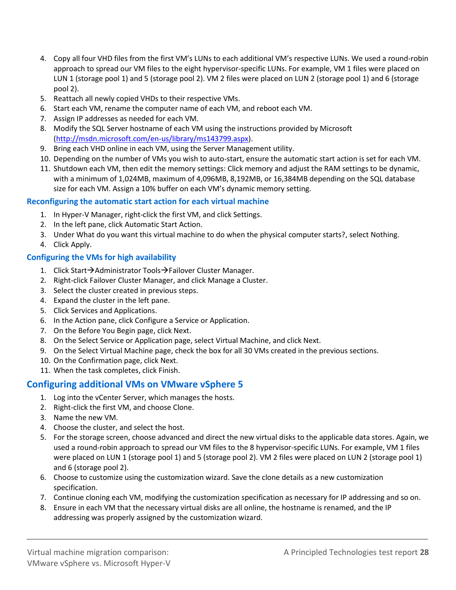- 4. Copy all four VHD files from the first VM's LUNs to each additional VM's respective LUNs. We used a round-robin approach to spread our VM files to the eight hypervisor-specific LUNs. For example, VM 1 files were placed on LUN 1 (storage pool 1) and 5 (storage pool 2). VM 2 files were placed on LUN 2 (storage pool 1) and 6 (storage pool 2).
- 5. Reattach all newly copied VHDs to their respective VMs.
- 6. Start each VM, rename the computer name of each VM, and reboot each VM.
- 7. Assign IP addresses as needed for each VM.
- 8. Modify the SQL Server hostname of each VM using the instructions provided by Microsoft [\(http://msdn.microsoft.com/en-us/library/ms143799.aspx\)](http://msdn.microsoft.com/en-us/library/ms143799.aspx).
- 9. Bring each VHD online in each VM, using the Server Management utility.
- 10. Depending on the number of VMs you wish to auto-start, ensure the automatic start action is set for each VM.
- 11. Shutdown each VM, then edit the memory settings: Click memory and adjust the RAM settings to be dynamic, with a minimum of 1,024MB, maximum of 4,096MB, 8,192MB, or 16,384MB depending on the SQL database size for each VM. Assign a 10% buffer on each VM's dynamic memory setting.

#### **Reconfiguring the automatic start action for each virtual machine**

- 1. In Hyper-V Manager, right-click the first VM, and click Settings.
- 2. In the left pane, click Automatic Start Action.
- 3. Under What do you want this virtual machine to do when the physical computer starts?, select Nothing.
- 4. Click Apply.

#### **Configuring the VMs for high availability**

- 1. Click Start $\rightarrow$ Administrator Tools $\rightarrow$ Failover Cluster Manager.
- 2. Right-click Failover Cluster Manager, and click Manage a Cluster.
- 3. Select the cluster created in previous steps.
- 4. Expand the cluster in the left pane.
- 5. Click Services and Applications.
- 6. In the Action pane, click Configure a Service or Application.
- 7. On the Before You Begin page, click Next.
- 8. On the Select Service or Application page, select Virtual Machine, and click Next.
- 9. On the Select Virtual Machine page, check the box for all 30 VMs created in the previous sections.
- 10. On the Confirmation page, click Next.
- 11. When the task completes, click Finish.

#### **Configuring additional VMs on VMware vSphere 5**

- 1. Log into the vCenter Server, which manages the hosts.
- 2. Right-click the first VM, and choose Clone.
- 3. Name the new VM.
- 4. Choose the cluster, and select the host.
- 5. For the storage screen, choose advanced and direct the new virtual disks to the applicable data stores. Again, we used a round-robin approach to spread our VM files to the 8 hypervisor-specific LUNs. For example, VM 1 files were placed on LUN 1 (storage pool 1) and 5 (storage pool 2). VM 2 files were placed on LUN 2 (storage pool 1) and 6 (storage pool 2).
- 6. Choose to customize using the customization wizard. Save the clone details as a new customization specification.
- 7. Continue cloning each VM, modifying the customization specification as necessary for IP addressing and so on.
- 8. Ensure in each VM that the necessary virtual disks are all online, the hostname is renamed, and the IP addressing was properly assigned by the customization wizard.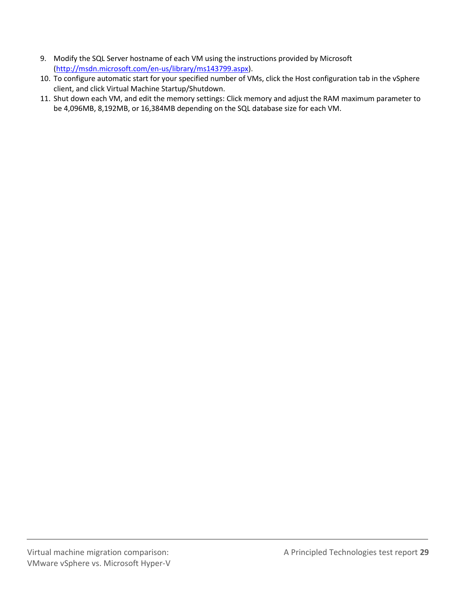- 9. Modify the SQL Server hostname of each VM using the instructions provided by Microsoft [\(http://msdn.microsoft.com/en-us/library/ms143799.aspx\)](http://msdn.microsoft.com/en-us/library/ms143799.aspx).
- 10. To configure automatic start for your specified number of VMs, click the Host configuration tab in the vSphere client, and click Virtual Machine Startup/Shutdown.
- 11. Shut down each VM, and edit the memory settings: Click memory and adjust the RAM maximum parameter to be 4,096MB, 8,192MB, or 16,384MB depending on the SQL database size for each VM.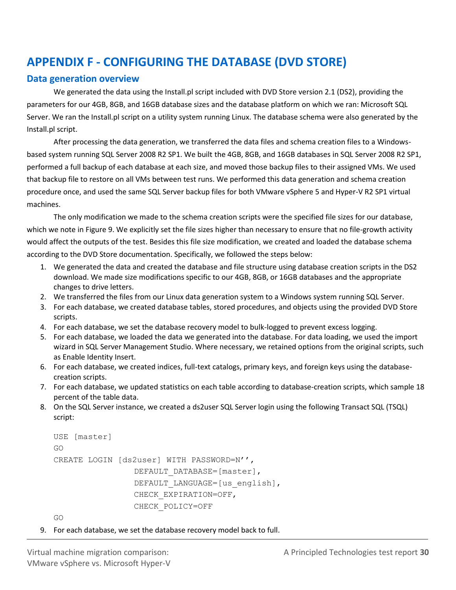## <span id="page-29-0"></span>**APPENDIX F - CONFIGURING THE DATABASE (DVD STORE)**

### **Data generation overview**

We generated the data using the Install.pl script included with DVD Store version 2.1 (DS2), providing the parameters for our 4GB, 8GB, and 16GB database sizes and the database platform on which we ran: Microsoft SQL Server. We ran the Install.pl script on a utility system running Linux. The database schema were also generated by the Install.pl script.

After processing the data generation, we transferred the data files and schema creation files to a Windowsbased system running SQL Server 2008 R2 SP1. We built the 4GB, 8GB, and 16GB databases in SQL Server 2008 R2 SP1, performed a full backup of each database at each size, and moved those backup files to their assigned VMs. We used that backup file to restore on all VMs between test runs. We performed this data generation and schema creation procedure once, and used the same SQL Server backup files for both VMware vSphere 5 and Hyper-V R2 SP1 virtual machines.

The only modification we made to the schema creation scripts were the specified file sizes for our database, which we note in Figure 9. We explicitly set the file sizes higher than necessary to ensure that no file-growth activity would affect the outputs of the test. Besides this file size modification, we created and loaded the database schema according to the DVD Store documentation. Specifically, we followed the steps below:

- 1. We generated the data and created the database and file structure using database creation scripts in the DS2 download. We made size modifications specific to our 4GB, 8GB, or 16GB databases and the appropriate changes to drive letters.
- 2. We transferred the files from our Linux data generation system to a Windows system running SQL Server.
- 3. For each database, we created database tables, stored procedures, and objects using the provided DVD Store scripts.
- 4. For each database, we set the database recovery model to bulk-logged to prevent excess logging.
- 5. For each database, we loaded the data we generated into the database. For data loading, we used the import wizard in SQL Server Management Studio. Where necessary, we retained options from the original scripts, such as Enable Identity Insert.
- 6. For each database, we created indices, full-text catalogs, primary keys, and foreign keys using the databasecreation scripts.
- 7. For each database, we updated statistics on each table according to database-creation scripts, which sample 18 percent of the table data.
- 8. On the SQL Server instance, we created a ds2user SQL Server login using the following Transact SQL (TSQL) script:

```
USE [master]
GO
CREATE LOGIN [ds2user] WITH PASSWORD=N'',
                 DEFAULT DATABASE=[master],
                 DEFAULT LANGUAGE=[us english],
                CHECK_EXPIRATION=OFF,
                CHECK_POLICY=OFF
```
GO

9. For each database, we set the database recovery model back to full.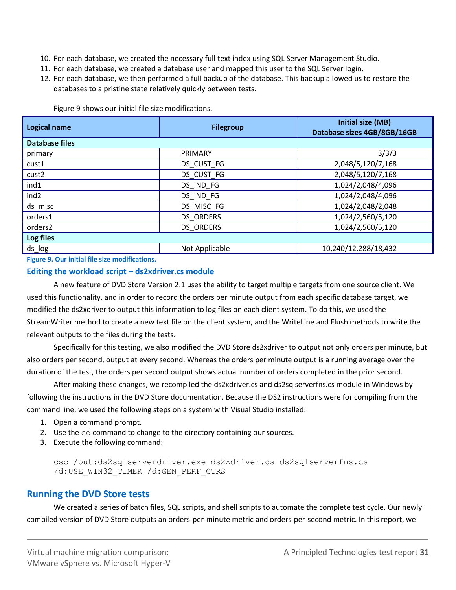- 10. For each database, we created the necessary full text index using SQL Server Management Studio.
- 11. For each database, we created a database user and mapped this user to the SQL Server login.
- 12. For each database, we then performed a full backup of the database. This backup allowed us to restore the databases to a pristine state relatively quickly between tests.

| <b>Logical name</b> | <b>Filegroup</b> | Initial size (MB)<br>Database sizes 4GB/8GB/16GB |
|---------------------|------------------|--------------------------------------------------|
| Database files      |                  |                                                  |
| primary             | PRIMARY          | 3/3/3                                            |
| cust1               | DS CUST FG       | 2,048/5,120/7,168                                |
| cust2               | DS CUST FG       | 2,048/5,120/7,168                                |
| ind1                | DS IND FG        | 1,024/2,048/4,096                                |
| ind <sub>2</sub>    | DS_IND_FG        | 1,024/2,048/4,096                                |
| ds_misc             | DS MISC FG       | 1,024/2,048/2,048                                |
| orders1             | <b>DS ORDERS</b> | 1,024/2,560/5,120                                |
| orders2             | <b>DS ORDERS</b> | 1,024/2,560/5,120                                |
| Log files           |                  |                                                  |
| ds_log              | Not Applicable   | 10,240/12,288/18,432                             |

Figure 9 shows our initial file size modifications.

**Figure 9. Our initial file size modifications.**

#### **Editing the workload script – ds2xdriver.cs module**

A new feature of DVD Store Version 2.1 uses the ability to target multiple targets from one source client. We used this functionality, and in order to record the orders per minute output from each specific database target, we modified the ds2xdriver to output this information to log files on each client system. To do this, we used the StreamWriter method to create a new text file on the client system, and the WriteLine and Flush methods to write the relevant outputs to the files during the tests.

Specifically for this testing, we also modified the DVD Store ds2xdriver to output not only orders per minute, but also orders per second, output at every second. Whereas the orders per minute output is a running average over the duration of the test, the orders per second output shows actual number of orders completed in the prior second.

After making these changes, we recompiled the ds2xdriver.cs and ds2sqlserverfns.cs module in Windows by following the instructions in the DVD Store documentation. Because the DS2 instructions were for compiling from the command line, we used the following steps on a system with Visual Studio installed:

- 1. Open a command prompt.
- 2. Use the cd command to change to the directory containing our sources.
- 3. Execute the following command:

csc /out:ds2sqlserverdriver.exe ds2xdriver.cs ds2sqlserverfns.cs /d:USE\_WIN32\_TIMER /d:GEN\_PERF\_CTRS

### **Running the DVD Store tests**

We created a series of batch files, SQL scripts, and shell scripts to automate the complete test cycle. Our newly compiled version of DVD Store outputs an orders-per-minute metric and orders-per-second metric. In this report, we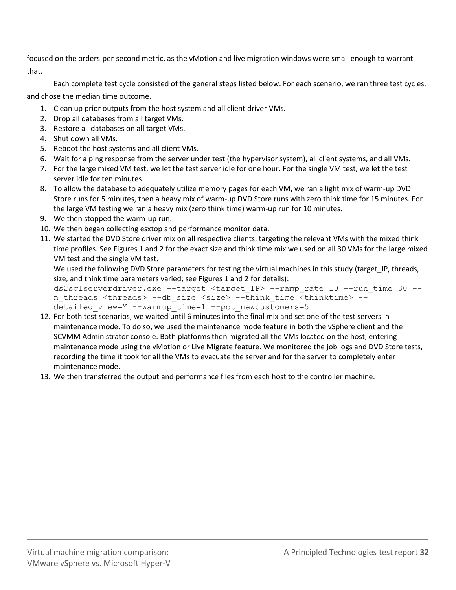focused on the orders-per-second metric, as the vMotion and live migration windows were small enough to warrant that.

Each complete test cycle consisted of the general steps listed below. For each scenario, we ran three test cycles, and chose the median time outcome.

- 1. Clean up prior outputs from the host system and all client driver VMs.
- 2. Drop all databases from all target VMs.
- 3. Restore all databases on all target VMs.
- 4. Shut down all VMs.
- 5. Reboot the host systems and all client VMs.
- 6. Wait for a ping response from the server under test (the hypervisor system), all client systems, and all VMs.
- 7. For the large mixed VM test, we let the test server idle for one hour. For the single VM test, we let the test server idle for ten minutes.
- 8. To allow the database to adequately utilize memory pages for each VM, we ran a light mix of warm-up DVD Store runs for 5 minutes, then a heavy mix of warm-up DVD Store runs with zero think time for 15 minutes. For the large VM testing we ran a heavy mix (zero think time) warm-up run for 10 minutes.
- 9. We then stopped the warm-up run.
- 10. We then began collecting esxtop and performance monitor data.
- 11. We started the DVD Store driver mix on all respective clients, targeting the relevant VMs with the mixed think time profiles. See Figures 1 and 2 for the exact size and think time mix we used on all 30 VMs for the large mixed VM test and the single VM test.

We used the following DVD Store parameters for testing the virtual machines in this study (target IP, threads, size, and think time parameters varied; see Figures 1 and 2 for details):

```
ds2sqlserverdriver.exe --target=<target_IP> --ramp_rate=10 --run_time=30 --
n threads=<threads> --db size=<size> --think time=<thinktime> --
detailed view=Y --warmup_time=1 --pct_newcustomers=5
```
- 12. For both test scenarios, we waited until 6 minutes into the final mix and set one of the test servers in maintenance mode. To do so, we used the maintenance mode feature in both the vSphere client and the SCVMM Administrator console. Both platforms then migrated all the VMs located on the host, entering maintenance mode using the vMotion or Live Migrate feature. We monitored the job logs and DVD Store tests, recording the time it took for all the VMs to evacuate the server and for the server to completely enter maintenance mode.
- 13. We then transferred the output and performance files from each host to the controller machine.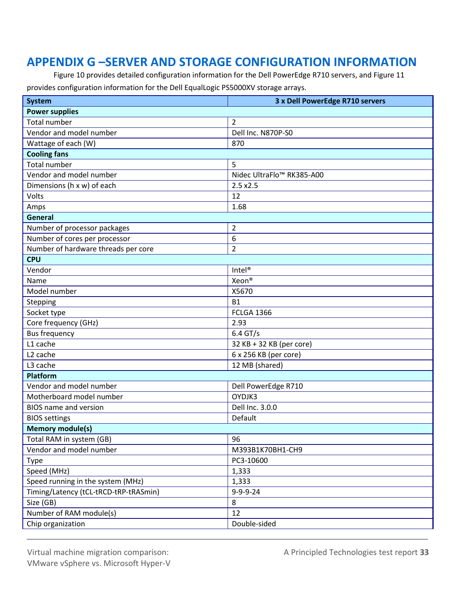## **APPENDIX G –SERVER AND STORAGE CONFIGURATION INFORMATION**

Figure 10 provides detailed configuration information for the Dell PowerEdge R710 servers, and Figure 11 provides configuration information for the Dell EqualLogic PS5000XV storage arrays.

| <b>System</b>                         | 3 x Dell PowerEdge R710 servers       |  |  |
|---------------------------------------|---------------------------------------|--|--|
| <b>Power supplies</b>                 |                                       |  |  |
| <b>Total number</b>                   | $\overline{2}$                        |  |  |
| Vendor and model number               | Dell Inc. N870P-S0                    |  |  |
| Wattage of each (W)                   | 870                                   |  |  |
| <b>Cooling fans</b>                   |                                       |  |  |
| Total number                          | 5                                     |  |  |
| Vendor and model number               | Nidec UltraFlo <sup>™</sup> RK385-A00 |  |  |
| Dimensions (h x w) of each            | 2.5x2.5                               |  |  |
| Volts                                 | 12                                    |  |  |
| Amps                                  | 1.68                                  |  |  |
| General                               |                                       |  |  |
| Number of processor packages          | $\overline{2}$                        |  |  |
| Number of cores per processor         | 6                                     |  |  |
| Number of hardware threads per core   | $\overline{2}$                        |  |  |
| <b>CPU</b>                            |                                       |  |  |
| Vendor                                | Intel <sup>®</sup>                    |  |  |
| Name                                  | Xeon®                                 |  |  |
| Model number                          | X5670                                 |  |  |
| Stepping                              | <b>B1</b>                             |  |  |
| Socket type                           | <b>FCLGA 1366</b>                     |  |  |
| Core frequency (GHz)                  | 2.93                                  |  |  |
| <b>Bus frequency</b>                  | $6.4$ GT/s                            |  |  |
| L1 cache                              | 32 KB + 32 KB (per core)              |  |  |
| L <sub>2</sub> cache                  | 6 x 256 KB (per core)                 |  |  |
| L3 cache                              | 12 MB (shared)                        |  |  |
| <b>Platform</b>                       |                                       |  |  |
| Vendor and model number               | Dell PowerEdge R710                   |  |  |
| Motherboard model number              | OYDJK3                                |  |  |
| <b>BIOS</b> name and version          | Dell Inc. 3.0.0                       |  |  |
| <b>BIOS settings</b>                  | Default                               |  |  |
| <b>Memory module(s)</b>               |                                       |  |  |
| Total RAM in system (GB)              | 96                                    |  |  |
| Vendor and model number               | M393B1K70BH1-CH9                      |  |  |
| <b>Type</b>                           | PC3-10600                             |  |  |
| Speed (MHz)                           | 1,333                                 |  |  |
| Speed running in the system (MHz)     | 1,333                                 |  |  |
| Timing/Latency (tCL-tRCD-tRP-tRASmin) | $9 - 9 - 9 - 24$                      |  |  |
| Size (GB)                             | 8                                     |  |  |
| Number of RAM module(s)               | 12                                    |  |  |
| Chip organization                     | Double-sided                          |  |  |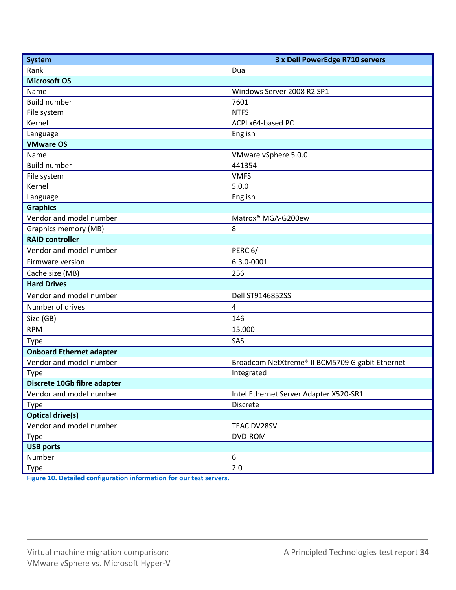| <b>System</b>                   | 3 x Dell PowerEdge R710 servers                 |  |  |
|---------------------------------|-------------------------------------------------|--|--|
| Rank                            | Dual                                            |  |  |
| <b>Microsoft OS</b>             |                                                 |  |  |
| Name                            | Windows Server 2008 R2 SP1                      |  |  |
| <b>Build number</b>             | 7601                                            |  |  |
| File system                     | <b>NTFS</b>                                     |  |  |
| Kernel                          | ACPI x64-based PC                               |  |  |
| Language                        | English                                         |  |  |
| <b>VMware OS</b>                |                                                 |  |  |
| Name                            | VMware vSphere 5.0.0                            |  |  |
| <b>Build number</b>             | 441354                                          |  |  |
| File system                     | <b>VMFS</b>                                     |  |  |
| Kernel                          | 5.0.0                                           |  |  |
| Language                        | English                                         |  |  |
| <b>Graphics</b>                 |                                                 |  |  |
| Vendor and model number         | Matrox® MGA-G200ew                              |  |  |
| <b>Graphics memory (MB)</b>     | 8                                               |  |  |
| <b>RAID controller</b>          |                                                 |  |  |
| Vendor and model number         | PERC 6/i                                        |  |  |
| Firmware version                | 6.3.0-0001                                      |  |  |
| Cache size (MB)                 | 256                                             |  |  |
| <b>Hard Drives</b>              |                                                 |  |  |
| Vendor and model number         | Dell ST9146852SS                                |  |  |
| Number of drives                | 4                                               |  |  |
| Size (GB)                       | 146                                             |  |  |
| <b>RPM</b>                      | 15,000                                          |  |  |
| <b>Type</b>                     | SAS                                             |  |  |
| <b>Onboard Ethernet adapter</b> |                                                 |  |  |
| Vendor and model number         | Broadcom NetXtreme® II BCM5709 Gigabit Ethernet |  |  |
| Type                            | Integrated                                      |  |  |
| Discrete 10Gb fibre adapter     |                                                 |  |  |
| Vendor and model number         | Intel Ethernet Server Adapter X520-SR1          |  |  |
| Type                            | Discrete                                        |  |  |
| <b>Optical drive(s)</b>         |                                                 |  |  |
| Vendor and model number         | TEAC DV28SV                                     |  |  |
| Type                            | DVD-ROM                                         |  |  |
| <b>USB ports</b>                |                                                 |  |  |
| Number                          | 6                                               |  |  |
| Type                            | 2.0                                             |  |  |

**Figure 10. Detailed configuration information for our test servers.**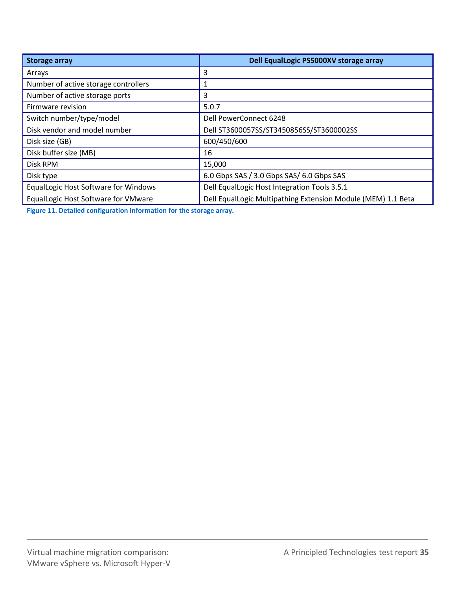| <b>Storage array</b>                        | Dell EqualLogic PS5000XV storage array                       |
|---------------------------------------------|--------------------------------------------------------------|
| Arrays                                      | 3                                                            |
| Number of active storage controllers        |                                                              |
| Number of active storage ports              | 3                                                            |
| Firmware revision                           | 5.0.7                                                        |
| Switch number/type/model                    | Dell PowerConnect 6248                                       |
| Disk vendor and model number                | Dell ST3600057SS/ST3450856SS/ST3600002SS                     |
| Disk size (GB)                              | 600/450/600                                                  |
| Disk buffer size (MB)                       | 16                                                           |
| Disk RPM                                    | 15,000                                                       |
| Disk type                                   | 6.0 Gbps SAS / 3.0 Gbps SAS/ 6.0 Gbps SAS                    |
| <b>EqualLogic Host Software for Windows</b> | Dell EqualLogic Host Integration Tools 3.5.1                 |
| EqualLogic Host Software for VMware         | Dell EqualLogic Multipathing Extension Module (MEM) 1.1 Beta |

**Figure 11. Detailed configuration information for the storage array.**